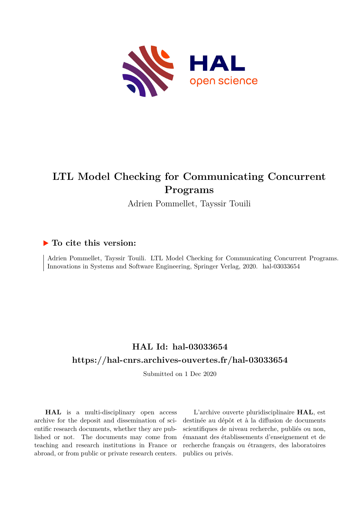

# **LTL Model Checking for Communicating Concurrent Programs**

Adrien Pommellet, Tayssir Touili

# **To cite this version:**

Adrien Pommellet, Tayssir Touili. LTL Model Checking for Communicating Concurrent Programs. Innovations in Systems and Software Engineering, Springer Verlag, 2020. hal-03033654

# **HAL Id: hal-03033654 <https://hal-cnrs.archives-ouvertes.fr/hal-03033654>**

Submitted on 1 Dec 2020

**HAL** is a multi-disciplinary open access archive for the deposit and dissemination of scientific research documents, whether they are published or not. The documents may come from teaching and research institutions in France or abroad, or from public or private research centers.

L'archive ouverte pluridisciplinaire **HAL**, est destinée au dépôt et à la diffusion de documents scientifiques de niveau recherche, publiés ou non, émanant des établissements d'enseignement et de recherche français ou étrangers, des laboratoires publics ou privés.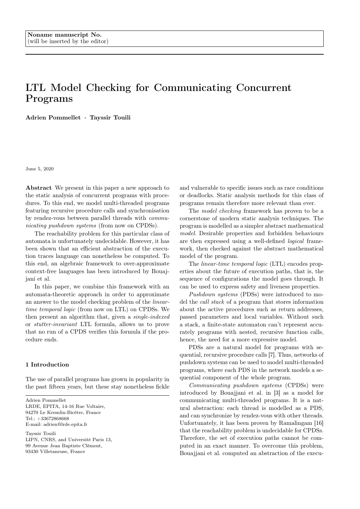# LTL Model Checking for Communicating Concurrent Programs

Adrien Pommellet · Tayssir Touili

June 5, 2020

Abstract We present in this paper a new approach to the static analysis of concurrent programs with procedures. To this end, we model multi-threaded programs featuring recursive procedure calls and synchronisation by rendez-vous between parallel threads with communicating pushdown systems (from now on CPDSs).

The reachability problem for this particular class of automata is unfortunately undecidable. However, it has been shown that an efficient abstraction of the execution traces language can nonetheless be computed. To this end, an algebraic framework to over-approximate context-free languages has been introduced by Bouajjani et al.

In this paper, we combine this framework with an automata-theoretic approach in order to approximate an answer to the model checking problem of the lineartime temporal logic (from now on LTL) on CPDSs. We then present an algorithm that, given a single-indexed or stutter-invariant LTL formula, allows us to prove that no run of a CPDS verifies this formula if the procedure ends.

## 1 Introduction

The use of parallel programs has grown in popularity in the past fifteen years, but these stay nonetheless fickle

Adrien Pommellet LRDE, EPITA, 14-16 Rue Voltaire, 94270 Le Kremlin-Bicêtre, France Tel.: +33672868668 E-mail: adrien@lrde.epita.fr

Tayssir Touili LIPN, CNRS, and Université Paris 13, 99 Avenue Jean Baptiste Clément, 93430 Villetaneuse, France

and vulnerable to specific issues such as race conditions or deadlocks. Static analysis methods for this class of programs remain therefore more relevant than ever.

The model checking framework has proven to be a cornerstone of modern static analysis techniques. The program is modelled as a simpler abstract mathematical model. Desirable properties and forbidden behaviours are then expressed using a well-defined logical framework, then checked against the abstract mathematical model of the program.

The linear-time temporal logic (LTL) encodes properties about the future of execution paths, that is, the sequence of configurations the model goes through. It can be used to express safety and liveness properties.

Pushdown systems (PDSs) were introduced to model the *call stack* of a program that stores information about the active procedures such as return addresses, passed parameters and local variables. Without such a stack, a finite-state automaton can't represent accurately programs with nested, recursive function calls, hence, the need for a more expressive model.

PDSs are a natural model for programs with sequential, recursive procedure calls [7]. Thus, networks of pushdown systems can be used to model multi-threaded programs, where each PDS in the network models a sequential component of the whole program.

Communicating pushdown systems (CPDSs) were introduced by Bouajjani et al. in [3] as a model for communicating multi-threaded programs. It is a natural abstraction: each thread is modelled as a PDS, and can synchronize by rendez-vous with other threads. Unfortunately, it has been proven by Ramalingam [16] that the reachability problem is undecidable for CPDSs. Therefore, the set of execution paths cannot be computed in an exact manner. To overcome this problem, Bouajjani et al. computed an abstraction of the execu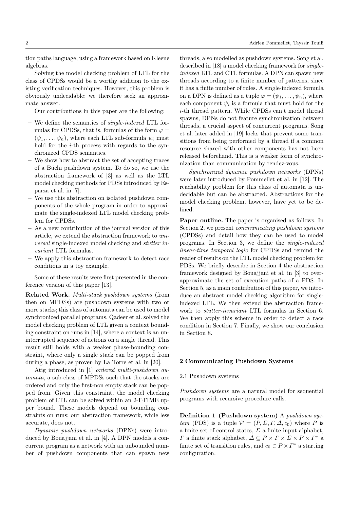tion paths language, using a framework based on Kleene algebras.

Solving the model checking problem of LTL for the class of CPDSs would be a worthy addition to the existing verification techniques. However, this problem is obviously undecidable: we therefore seek an approximate answer.

Our contributions in this paper are the following:

- We define the semantics of single-indexed LTL formulas for CPDSs, that is, formulas of the form  $\varphi =$  $(\psi_1, \ldots, \psi_n)$ , where each LTL sub-formula  $\psi_i$  must hold for the  $i$ -th process with regards to the synchronized CPDS semantics.
- We show how to abstract the set of accepting traces of a Büchi pushdown system. To do so, we use the abstraction framework of [3] as well as the LTL model checking methods for PDSs introduced by Esparza et al. in [7].
- We use this abstraction on isolated pushdown components of the whole program in order to approximate the single-indexed LTL model checking problem for CPDSs.
- As a new contribution of the journal version of this article, we extend the abstraction framework to universal single-indexed model checking and stutter invariant LTL formulas.
- We apply this abstraction framework to detect race conditions in a toy example.

Some of these results were first presented in the conference version of this paper [13].

Related Work. Multi-stack pushdown systems (from then on MPDSs) are pushdown systems with two or more stacks; this class of automata can be used to model synchronized parallel programs. Qadeer et al. solved the model checking problem of LTL given a context bounding constraint on runs in [14], where a context is an uninterrupted sequence of actions on a single thread. This result still holds with a weaker phase-bounding constraint, where only a single stack can be popped from during a phase, as proven by La Torre et al. in [20].

Atig introduced in [1] ordered multi-pushdown automata, a sub-class of MPDSs such that the stacks are ordered and only the first-non empty stack can be popped from. Given this constraint, the model checking problem of LTL can be solved within an 2-ETIME upper bound. These models depend on bounding constraints on runs; our abstraction framework, while less accurate, does not.

Dynamic pushdown networks (DPNs) were introduced by Bouajjani et al. in [4]. A DPN models a concurrent program as a network with an unbounded number of pushdown components that can spawn new

threads, also modelled as pushdown systems. Song et al. described in [18] a model checking framework for singleindexed LTL and CTL formulas. A DPN can spawn new threads according to a finite number of patterns, since it has a finite number of rules. A single-indexed formula on a DPN is defined as a tuple  $\varphi = (\psi_1, \ldots, \psi_n)$ , where each component  $\psi_i$  is a formula that must hold for the i-th thread pattern. While CPDSs can't model thread spawns, DPNs do not feature synchronization between threads, a crucial aspect of concurrent programs. Song et al. later added in [19] locks that prevent some transitions from being performed by a thread if a common resource shared with other components has not been released beforehand. This is a weaker form of synchronization than communication by rendez-vous.

Synchronized dynamic pushdown networks (DPNs) were later introduced by Pommellet et al. in [12]. The reachability problem for this class of automata is undecidable but can be abstracted. Abstractions for the model checking problem, however, have yet to be defined.

Paper outline. The paper is organised as follows. In Section 2, we present communicating pushdown systems (CPDSs) and detail how they can be used to model programs. In Section 3, we define the single-indexed linear-time temporal logic for CPDSs and remind the reader of results on the LTL model checking problem for PDSs. We briefly describe in Section 4 the abstraction framework designed by Bouajjani et al. in [3] to overapproximate the set of execution paths of a PDS. In Section 5, as a main contribution of this paper, we introduce an abstract model checking algorithm for singleindexed LTL. We then extend the abstraction framework to stutter-invariant LTL formulas in Section 6. We then apply this scheme in order to detect a race condition in Section 7. Finally, we show our conclusion in Section 8.

#### 2 Communicating Pushdown Systems

#### 2.1 Pushdown systems

Pushdown systems are a natural model for sequential programs with recursive procedure calls.

Definition 1 (Pushdown system) A pushdown system (PDS) is a tuple  $\mathcal{P} = (P, \Sigma, \Gamma, \Delta, c_0)$  where P is a finite set of control states,  $\Sigma$  a finite input alphabet,  $\Gamma$  a finite stack alphabet,  $\Delta \subseteq P \times \Gamma \times \Sigma \times P \times \Gamma^*$  a finite set of transition rules, and  $c_0 \in P \times \Gamma^*$  a starting configuration.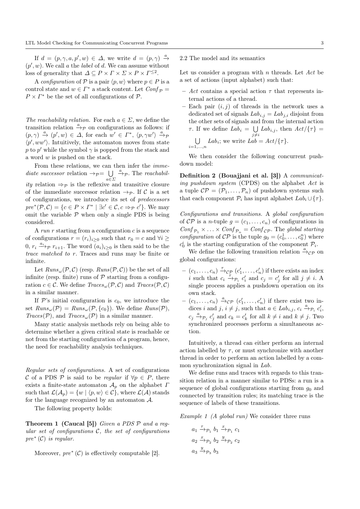If  $d = (p, \gamma, a, p', w) \in \Delta$ , we write  $d = (p, \gamma) \stackrel{a}{\rightarrow}$  $(p', w)$ . We call a the *label* of d. We can assume without loss of generality that  $\Delta \subseteq P \times \Gamma \times \Sigma \times P \times \Gamma^{\leq 2}$ .

A configuration of P is a pair  $\langle p, w \rangle$  where  $p \in P$  is a control state and  $w \in \Gamma^*$  a stack content. Let  $\mathit{Conf}_P =$  $P \times \Gamma^*$  be the set of all configurations of  $P$ .

The reachability relation. For each  $a \in \Sigma$ , we define the transition relation  $\stackrel{a}{\rightarrow}p$  on configurations as follows: if  $(p, \gamma) \stackrel{a}{\rightarrow} (p', w) \in \Delta$ , for each  $w' \in \Gamma^*$ ,  $\langle p, \gamma w' \rangle \stackrel{a}{\rightarrow} p$  $\langle p', ww'\rangle$ . Intuitively, the automaton moves from state p to p' while the symbol  $\gamma$  is popped from the stack and a word w is pushed on the stack.

From these relations, we can then infer the *imme*diate successor relation  $\rightarrow_P = \bigcup$  $\bigcup_{a \in \Sigma} \stackrel{a}{\rightarrow} p$ . The *reachabil*ity relation  $\Rightarrow_{\mathcal{P}}$  is the reflexive and transitive closure of the immediate successor relation  $\rightarrow_{\mathcal{P}}$ . If C is a set of configurations, we introduce its set of predecessors  $pre^*(\mathcal{P}, \mathcal{C}) = \{c \in P \times \Gamma^* \mid \exists c' \in \mathcal{C}, c \Rightarrow_{\mathcal{P}} c'\}.$  We may omit the variable  $P$  when only a single PDS is being considered.

A run r starting from a configuration  $c$  is a sequence of configurations  $r = (r_i)_{i>0}$  such that  $r_0 = c$  and  $\forall i \geq$ 0,  $r_i \xrightarrow{a_i} r_{i+1}$ . The word  $(a_i)_{i \geq 0}$  is then said to be the trace matched to r. Traces and runs may be finite or infinite.

Let  $Runs_{\omega}(\mathcal{P}, \mathcal{C})$  (resp.  $Runs(\mathcal{P}, \mathcal{C})$ ) be the set of all infinite (resp. finite) runs of  $P$  starting from a configuration  $c \in \mathcal{C}$ . We define  $Traces_{\omega}(\mathcal{P}, \mathcal{C})$  and  $Traces(\mathcal{P}, \mathcal{C})$ in a similar manner.

If  $\mathcal{P}$ 's initial configuration is  $c_0$ , we introduce the set  $Runs_{\omega}(\mathcal{P}) = Runs_{\omega}(\mathcal{P}, \{c_0\})$ . We define  $Runs(\mathcal{P})$ ,  $Trace(\mathcal{P})$ , and  $Trace_{\omega}(\mathcal{P})$  in a similar manner.

Many static analysis methods rely on being able to determine whether a given critical state is reachable or not from the starting configuration of a program, hence, the need for reachability analysis techniques.

Regular sets of configurations. A set of configurations C of a PDS P is said to be regular if  $\forall p \in P$ , there exists a finite-state automaton  $\mathcal{A}_p$  on the alphabet  $\Gamma$ such that  $\mathcal{L}(\mathcal{A}_p) = \{w \mid \langle p, w \rangle \in \mathcal{C}\},\$  where  $\mathcal{L}(\mathcal{A})$  stands for the language recognized by an automaton  $\mathcal{A}$ .

The following property holds:

**Theorem 1 (Caucal [5])** Given a PDS  $P$  and a regular set of configurations  $C$ , the set of configurations pre<sup>∗</sup> (C) is regular.

Moreover,  $pre^*(\mathcal{C})$  is effectively computable [2].

# 2.2 The model and its semantics

Let us consider a program with  $n$  threads. Let  $Act$  be a set of actions (input alphabet) such that:

- Act contains a special action  $\tau$  that represents internal actions of a thread.
- Each pair  $(i, j)$  of threads in the network uses a dedicated set of signals  $Lab_{i,j} = Lab_{j,i}$  disjoint from the other sets of signals and from the internal action  $\tau$ . If we define  $Lab_i = \bigcup$  $\bigcup_{j\neq i} Lab_{i,j}$ , then  $Act/\{\tau\} =$ U  $\bigcup_{i=1,...,n} Lab_i$ ; we write  $Lab = Act/\{\tau\}.$

We then consider the following concurrent pushdown model:

Definition 2 (Bouajjani et al. [3]) A communicating pushdown system (CPDS) on the alphabet Act is a tuple  $\mathcal{CP} = (\mathcal{P}_1, \ldots, \mathcal{P}_n)$  of pushdown systems such that each component  $\mathcal{P}_i$  has input alphabet  $Lab_i \cup {\tau}$ .

Configurations and transitions. A global configuration of  $\mathcal{CP}$  is a *n*-tuple  $q = (c_1, \ldots, c_n)$  of configurations in  $\text{Conf}_{\mathcal{P}_1} \times \ldots \times \text{Conf}_{\mathcal{P}_n} = \text{Conf}_{\mathcal{CP}}$ . The global starting *configuration* of  $\mathcal{CP}$  is the tuple  $g_0 = (c_0^1, \ldots, c_0^n)$  where  $c_0^i$  is the starting configuration of the component  $\mathcal{P}_i$ .

We define the following transition relation  $\stackrel{a}{\rightarrow}{}_{\mathcal{CP}}$  on global configurations:

- $(c_1, \ldots, c_n) \stackrel{\tau}{\rightarrow}{}_{\mathcal{CP}} (c'_1, \ldots, c'_n)$  if there exists an index i such that  $c_i \stackrel{\tau}{\rightarrow} p_i c'_i$  and  $c_j = c'_j$  for all  $j \neq i$ . single process applies a pushdown operation on its own stack.
- $(c_1, \ldots, c_n) \stackrel{a}{\rightarrow}{}_{\mathcal{CP}} (c'_1, \ldots, c'_n)$  if there exist two indices i and j,  $i \neq j$ , such that  $a \in Lab_{i,j}$ ,  $c_i \xrightarrow{a} \mathcal{P}_i c'_i$ ,  $c_j \xrightarrow{a} \mathcal{P}_j c'_j$  and  $c_k = c'_k$  for all  $k \neq i$  and  $k \neq j$ . Two synchronized processes perform a simultaneous action.

Intuitively, a thread can either perform an internal action labelled by  $\tau$ , or must synchronize with another thread in order to perform an action labelled by a common synchronization signal in Lab.

We define runs and traces with regards to this transition relation in a manner similar to PDSs: a run is a sequence of global configurations starting from  $q_0$  and connected by transition rules; its matching trace is the sequence of labels of these transitions.

Example 1 (A global run) We consider three runs

$$
a_1 \xrightarrow{\tau} \rho_1 b_1 \xrightarrow{x} \rho_1 c_1
$$
  
\n
$$
a_2 \xrightarrow{x} \rho_2 b_2 \xrightarrow{y} \rho_2 c_2
$$
  
\n
$$
a_3 \xrightarrow{y} \rho_3 b_3
$$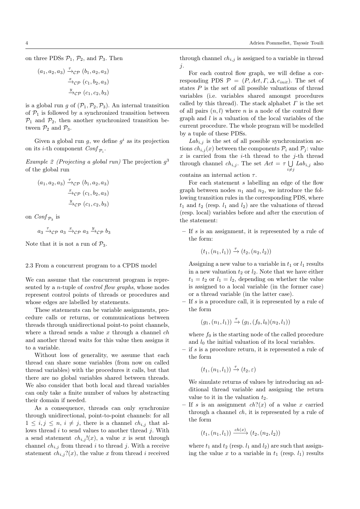on three PDSs  $P_1$ ,  $P_2$ , and  $P_3$ . Then

$$
(a_1, a_2, a_3) \xrightarrow{\tau} c_{\mathcal{P}} (b_1, a_2, a_3)
$$

$$
\xrightarrow{x}_{\mathcal{C}\mathcal{P}} (c_1, b_2, a_3)
$$

$$
\xrightarrow{y}_{\mathcal{C}\mathcal{P}} (c_1, c_2, b_3)
$$

is a global run g of  $(\mathcal{P}_1, \mathcal{P}_2, \mathcal{P}_3)$ . An internal transition of  $P_1$  is followed by a synchronized transition between  $\mathcal{P}_1$  and  $\mathcal{P}_2$ , then another synchronized transition between  $\mathcal{P}_2$  and  $\mathcal{P}_3$ .

Given a global run g, we define  $g^i$  as its projection on its *i*-th component  $\text{Conf}_{\mathcal{P}_i}$ .

Example 2 (Projecting a global run) The projection  $g^3$ of the global run

$$
(a_1, a_2, a_3) \xrightarrow{\tau}_{\mathcal{CP}} (b_1, a_2, a_3)
$$

$$
\xrightarrow{x}_{\mathcal{CP}} (c_1, b_2, a_3)
$$

$$
\xrightarrow{y}_{\mathcal{CP}} (c_1, c_2, b_3)
$$

on  $\mathit{Conf}_{\mathcal{P}_3}$  is

$$
a_3 \xrightarrow{\tau}_{\mathcal{CP}} a_3 \xrightarrow{x}^{\mathcal{CP}} a_3 \xrightarrow{y}_{\mathcal{CP}} b_3
$$

Note that it is not a run of  $P_3$ .

#### 2.3 From a concurrent program to a CPDS model

We can assume that the concurrent program is represented by a *n*-tuple of *control flow graphs*, whose nodes represent control points of threads or procedures and whose edges are labelled by statements.

These statements can be variable assignments, procedure calls or returns, or communications between threads through unidirectional point-to point channels, where a thread sends a value  $x$  through a channel  $ch$ and another thread waits for this value then assigns it to a variable.

Without loss of generality, we assume that each thread can share some variables (from now on called thread variables) with the procedures it calls, but that there are no global variables shared between threads. We also consider that both local and thread variables can only take a finite number of values by abstracting their domain if needed.

As a consequence, threads can only synchronize through unidirectional, point-to-point channels: for all  $1 \leq i, j \leq n, i \neq j$ , there is a channel  $ch_{i,j}$  that allows thread  $i$  to send values to another thread  $j$ . With a send statement  $ch_{i,j}!(x)$ , a value x is sent through channel  $ch_{i,j}$  from thread i to thread j. With a receive statement  $ch_{i,j}$ ?(x), the value x from thread i received through channel  $ch_{i,j}$  is assigned to a variable in thread j.

For each control flow graph, we will define a corresponding PDS  $\mathcal{P} = (P, Act, \Gamma, \Delta, c_{init})$ . The set of states  $P$  is the set of all possible valuations of thread variables (i.e. variables shared amongst procedures called by this thread). The stack alphabet  $\Gamma$  is the set of all pairs  $(n, l)$  where n is a node of the control flow graph and  $l$  is a valuation of the local variables of the current procedure. The whole program will be modelled by a tuple of these PDSs.

 $Lab_{i,j}$  is the set of all possible synchronization actions  $ch_{i,j}(x)$  between the components  $\mathcal{P}_i$  and  $\mathcal{P}_j$ : value  $x$  is carried from the *i*-th thread to the *j*-th thread through channel  $ch_{i,j}$ . The set  $Act = \tau \bigcup Lab_{i,j}$  also  $i \neq j$ 

contains an internal action  $\tau$ .

For each statement s labelling an edge of the flow graph between nodes  $n_1$  and  $n_2$ , we introduce the following transition rules in the corresponding PDS, where  $t_1$  and  $t_2$  (resp.  $l_1$  and  $l_2$ ) are the valuations of thread (resp. local) variables before and after the execution of the statement:

 $-$  If s is an assignment, it is represented by a rule of the form:

$$
(t_1,(n_1,l_1)) \xrightarrow{\tau} (t_2,(n_2,l_2))
$$

Assigning a new value to a variable in  $t_1$  or  $l_1$  results in a new valuation  $t_2$  or  $l_2$ . Note that we have either  $t_1 = t_2$  or  $l_1 = l_2$ , depending on whether the value is assigned to a local variable (in the former case) or a thread variable (in the latter case).

– If s is a procedure call, it is represented by a rule of the form

$$
(g_1,(n_1,l_1)) \stackrel{\tau}{\to} (g_1,(f_0,l_0)(n_2,l_1))
$$

where  $f_0$  is the starting node of the called procedure and  $l_0$  the initial valuation of its local variables.

– if s is a procedure return, it is represented a rule of the form

$$
(t_1,(n_1,l_1)) \xrightarrow{\tau} (t_2,\varepsilon)
$$

We simulate returns of values by introducing an additional thread variable and assigning the return value to it in the valuation  $t_2$ .

– If s is an assignment  $ch?(x)$  of a value x carried through a channel  $ch$ , it is represented by a rule of the form

$$
(t_1,(n_1,l_1))\xrightarrow{ch(x)} (t_2,(n_2,l_2))
$$

where  $t_1$  and  $t_2$  (resp.  $l_1$  and  $l_2$ ) are such that assigning the value x to a variable in  $t_1$  (resp.  $l_1$ ) results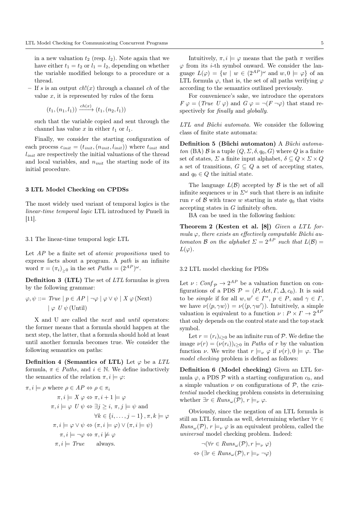in a new valuation  $t_2$  (resp.  $l_2$ ). Note again that we have either  $t_1 = t_2$  or  $l_1 = l_2$ , depending on whether the variable modified belongs to a procedure or a thread.

– If s is an output  $ch!(x)$  through a channel ch of the value  $x$ , it is represented by rules of the form

 $(t_1,(n_1,l_1)) \xrightarrow{ch(x)} (t_1,(n_2,l_1))$ 

such that the variable copied and sent through the channel has value x in either  $t_1$  or  $l_1$ .

Finally, we consider the starting configuration of each process  $c_{init} = (t_{init}, (n_{init}, l_{init}))$  where  $t_{init}$  and  $l_{init}$  are respectively the initial valuations of the thread and local variables, and  $n_{init}$  the starting node of its initial procedure.

# 3 LTL Model Checking on CPDSs

The most widely used variant of temporal logics is the linear-time temporal logic LTL introduced by Pnueli in [11].

3.1 The linear-time temporal logic LTL

Let AP be a finite set of *atomic propositions* used to express facts about a program. A path is an infinite word  $\pi = (\pi_i)_{>0}$  in the set  $Paths = (2^{AP})^{\omega}$ .

Definition 3 (LTL) The set of LTL formulas is given by the following grammar:

$$
\varphi, \psi ::= True \mid p \in AP \mid \neg \varphi \mid \varphi \lor \psi \mid X \varphi \text{ (Next)}
$$

$$
\mid \varphi \ U \psi \text{ (Until)}
$$

X and U are called the next and until operators: the former means that a formula should happen at the next step, the latter, that a formula should hold at least until another formula becomes true. We consider the following semantics on paths:

Definition 4 (Semantics of LTL) Let  $\varphi$  be a LTL formula,  $\pi \in \mathit{Paths}$ , and  $i \in \mathbb{N}$ . We define inductively the semantics of the relation  $\pi, i \models \varphi$ :

$$
\pi, i \models \rho \text{ where } \rho \in AP \Leftrightarrow \rho \in \pi_i
$$
  
\n
$$
\pi, i \models X \varphi \Leftrightarrow \pi, i+1 \models \varphi
$$
  
\n
$$
\pi, i \models \varphi \ U \psi \Leftrightarrow \exists j \ge i, \pi, j \models \psi \text{ and}
$$
  
\n
$$
\forall k \in \{i, \dots, j-1\}, \pi, k \models \varphi
$$
  
\n
$$
\pi, i \models \varphi \lor \psi \Leftrightarrow (\pi, i \models \varphi) \lor (\pi, i \models \psi)
$$
  
\n
$$
\pi, i \models \neg \varphi \Leftrightarrow \pi, i \not\models \varphi
$$
  
\n
$$
\pi, i \models True \text{ always.}
$$

Intuitively,  $\pi, i \models \varphi$  means that the path  $\pi$  verifies  $\varphi$  from its *i*-th symbol onward. We consider the language  $L(\varphi) = \{w \mid w \in (2^{AP})^{\omega} \text{ and } w, 0 \models \varphi\}$  of an LTL formula  $\varphi$ , that is, the set of all paths verifying  $\varphi$ according to the semantics outlined previously.

For convenience's sake, we introduce the operators  $F \varphi = (True U \varphi)$  and  $G \varphi = \neg (F \neg \varphi)$  that stand respectively for finally and globally.

LTL and Büchi automata. We consider the following class of finite state automata:

Definition 5 (Büchi automaton) A Büchi automaton (BA)  $\mathcal B$  is a tuple  $(Q, \Sigma, \delta, q_0, G)$  where  $Q$  is a finite set of states,  $\Sigma$  a finite input alphabet,  $\delta \subseteq Q \times \Sigma \times Q$ a set of transitions,  $G \subseteq Q$  a set of accepting states, and  $q_0 \in Q$  the initial state.

The language  $L(\mathcal{B})$  accepted by  $\mathcal B$  is the set of all infinite sequences  $w$  in  $\Sigma^{\omega}$  such that there is an infinite run r of B with trace w starting in state  $q_0$  that visits accepting states in G infinitely often.

BA can be used in the following fashion:

Theorem 2 (Kesten et al.  $[8]$ ) Given a LTL formula  $\varphi$ , there exists an effectively computable Büchi automaton B on the alphabet  $\Sigma = 2^{AP}$  such that  $L(\mathcal{B}) =$  $L(\varphi)$ .

3.2 LTL model checking for PDSs

Let  $\nu: Conf_{\mathcal{P}} \to 2^{AP}$  be a valuation function on configurations of a PDS  $\mathcal{P} = (P, Act, \Gamma, \Delta, c_0)$ . It is said to be *simple* if for all  $w, w' \in \Gamma^*, p \in P$ , and  $\gamma \in \Gamma$ , we have  $\nu(\langle p, \gamma w \rangle) = \nu(\langle p, \gamma w \rangle)$ . Intuitively, a simple valuation is equivalent to a function  $\nu: P \times \Gamma \to 2^{AF}$ that only depends on the control state and the top stack symbol.

Let  $r = (r_i)_{i>0}$  be an infinite run of  $P$ . We define the image  $\nu(r) = (\nu(r_i))_{i>0}$  in Paths of r by the valuation function v. We write that  $r \models_{\nu} \varphi$  if  $\nu(r), 0 \models \varphi$ . The model checking problem is defined as follows:

Definition 6 (Model checking) Given an LTL formula  $\varphi$ , a PDS  $\mathcal P$  with a starting configuration  $c_0$ , and a simple valuation  $\nu$  on configurations of  $P$ , the existential model checking problem consists in determining whether  $\exists r \in \text{Runs}_{\omega}(\mathcal{P}), r \models_{\nu} \varphi.$ 

Obviously, since the negation of an LTL formula is still an LTL formula as well, determining whether  $\forall r \in$  $Runs_{\omega}(\mathcal{P}), r \models_{\nu} \varphi$  is an equivalent problem, called the universal model checking problem. Indeed:

$$
\neg(\forall r \in Runs_{\omega}(\mathcal{P}), r \models_{\nu} \varphi)
$$

$$
\Leftrightarrow (\exists r \in Runs_{\omega}(\mathcal{P}), r \models_{\nu} \neg \varphi)
$$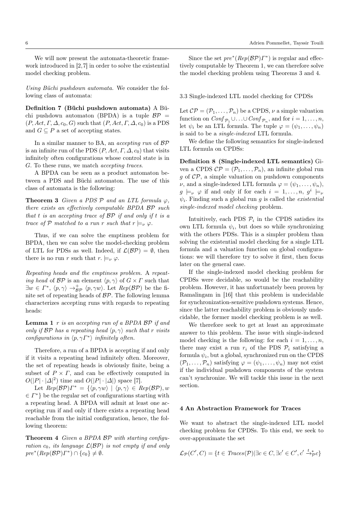We will now present the automata-theoretic framework introduced in [2,7] in order to solve the existential model checking problem.

Using Büchi pushdown automata. We consider the following class of automata:

Definition 7 (Büchi pushdown automata) A Büchi pushdown automaton (BPDA) is a tuple  $BP =$  $(P, Act, \Gamma, \Delta, c_0, G)$  such that  $(P, Act, \Gamma, \Delta, c_0)$  is a PDS and  $G \subseteq P$  a set of accepting states.

In a similar manner to BA, an *accepting run* of  $BP$ is an infinite run of the PDS  $(P, Act, \Gamma, \Delta, c_0)$  that visits infinitely often configurations whose control state is in G. To these runs, we match accepting traces.

A BPDA can be seen as a product automaton between a PDS and Büchi automaton. The use of this class of automata is the following:

**Theorem 3** Given a PDS  $\mathcal{P}$  and an LTL formula  $\varphi$ , there exists an effectively computable BPDA BP such that t is an accepting trace of  $BP$  if and only if t is a trace of P matched to a run r such that  $r \models_{\nu} \varphi$ .

Thus, if we can solve the emptiness problem for BPDA, then we can solve the model-checking problem of LTL for PDSs as well. Indeed, if  $\mathcal{L}(\mathcal{BP}) = \emptyset$ , then there is no run r such that  $r \models_{\nu} \varphi$ .

Repeating heads and the emptiness problem. A repeating head of  $\mathcal{BP}$  is an element  $\langle p, \gamma \rangle$  of  $G \times \Gamma$  such that  $\exists w \in \Gamma^*, \langle p, \gamma \rangle \rightarrow_{\mathcal{BP}}^+ \langle p, \gamma w \rangle$ . Let  $\mathbb{R}ep(\mathcal{BP})$  be the finite set of repeating heads of  $BP$ . The following lemma characterizes accepting runs with regards to repeating heads:

**Lemma 1** r is an accepting run of a BPDA  $BP$  if and only if  $BP$  has a repeating head  $\langle p, \gamma \rangle$  such that r visits configurations in  $\langle p, \gamma I^* \rangle$  infinitely often.

Therefore, a run of a BPDA is accepting if and only if it visits a repeating head infinitely often. Moreover, the set of repeating heads is obviously finite, being a subset of  $P \times \Gamma$ , and can be effectively computed in  $O(|P| \cdot |\Delta|^2)$  time and  $O(|P| \cdot |\Delta|)$  space [7].

Let  $Rep(\mathcal{BP})\Gamma^* = \{ \langle p, \gamma w \rangle \mid \langle p, \gamma \rangle \in Rep(\mathcal{BP}), w$  $\in \Gamma^*$  be the regular set of configurations starting with a repeating head. A BPDA will admit at least one accepting run if and only if there exists a repeating head reachable from the initial configuration, hence, the following theorem:

Theorem 4 Given a BPDA BP with starting configuration  $c_0$ , its language  $\mathcal{L}(\mathcal{BP})$  is not empty if and only  $pre^*(Rep(\mathcal{BP})\Gamma^*) \cap \{c_0\} \neq \emptyset.$ 

Since the set  $pre^*(Rep(\mathcal{BP})\Gamma^*)$  is regular and effectively computable by Theorem 1, we can therefore solve the model checking problem using Theorems 3 and 4.

3.3 Single-indexed LTL model checking for CPDSs

Let  $\mathcal{CP} = (\mathcal{P}_1, \ldots, \mathcal{P}_n)$  be a CPDS,  $\nu$  a simple valuation function on  $\text{Conf}_{\mathcal{P}_1} \cup \ldots \cup \text{Conf}_{\mathcal{P}_n}$ , and for  $i = 1, \ldots, n$ , let  $\psi_i$  be an LTL formula. The tuple  $\varphi = (\psi_1, \ldots, \psi_n)$ is said to be a single-indexed LTL formula.

We define the following semantics for single-indexed LTL formula on CPDSs:

Definition 8 (Single-indexed LTL semantics) Given a CPDS  $\mathcal{CP} = (\mathcal{P}_1, \ldots, \mathcal{P}_n)$ , an infinite global run q of  $\mathcal{CP}$ , a simple valuation on pushdown components  $\nu$ , and a single-indexed LTL formula  $\varphi = (\psi_1, \ldots, \psi_n)$ ,  $g \models_{\nu} \varphi$  if and only if for each  $i = 1, \ldots, n, g^i \models_{\nu}$  $\psi_i$ . Finding such a global run g is called the *existential* single-indexed model checking problem.

Intuitively, each PDS  $P_i$  in the CPDS satisfies its own LTL formula  $\psi_i$ , but does so while synchronizing with the others PDSs. This is a simpler problem than solving the existential model checking for a single LTL formula and a valuation function on global configurations: we will therefore try to solve it first, then focus later on the general case.

If the single-indexed model checking problem for CPDSs were decidable, so would be the reachability problem. However, it has unfortunately been proven by Ramalingam in [16] that this problem is undecidable for synchronization-sensitive pushdown systems. Hence, since the latter reachability problem is obviously undecidable, the former model checking problem is as well.

We therefore seek to get at least an approximate answer to this problem. The issue with single-indexed model checking is the following: for each  $i = 1, \ldots, n$ , there may exist a run  $r_i$  of the PDS  $\mathcal{P}_i$  satisfying a formula  $\psi_i$ , but a global, synchronized run on the CPDS  $(\mathcal{P}_1,\ldots,\mathcal{P}_n)$  satisfying  $\varphi=(\psi_1,\ldots,\psi_n)$  may not exist if the individual pushdown components of the system can't synchronize. We will tackle this issue in the next section.

# 4 An Abstraction Framework for Traces

We want to abstract the single-indexed LTL model checking problem for CPDSs. To this end, we seek to over-approximate the set

$$
\mathcal{L}_{\mathcal{P}}(C', C) = \{ t \in \text{Traces}(\mathcal{P}) | \exists c \in C, \exists c' \in C', c' \stackrel{t_*}{\to}_{\mathcal{P}} c \}
$$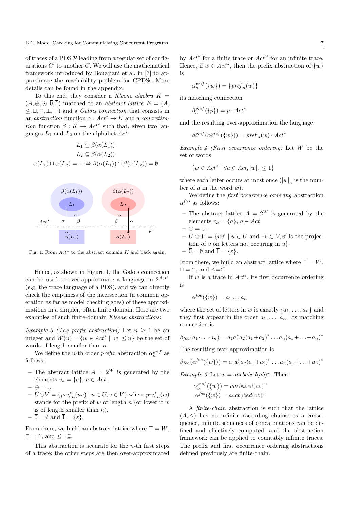of traces of a PDS  $P$  leading from a regular set of configurations  $C'$  to another  $C$ . We will use the mathematical framework introduced by Bouajjani et al. in [3] to approximate the reachability problem for CPDSs. More details can be found in the appendix.

To this end, they consider a Kleene algebra  $K =$  $(A, \oplus, \odot, \overline{0}, \overline{1})$  matched to an *abstract lattice*  $E = (A, \overline{A})$  $\leq, \sqcup, \sqcap, \perp, \top$  and a *Galois connection* that consists in an abstraction function  $\alpha : Act^* \to K$  and a concretization function  $\beta: K \to Act^*$  such that, given two languages  $L_1$  and  $L_2$  on the alphabet  $Act$ :

$$
L_1 \subseteq \beta(\alpha(L_1))
$$
  
\n
$$
L_2 \subseteq \beta(\alpha(L_2))
$$
  
\n
$$
\alpha(L_1) \sqcap \alpha(L_2) = \bot \Leftrightarrow \beta(\alpha(L_1)) \cap \beta(\alpha(L_2)) = \emptyset
$$



Fig. 1: From  $Act^*$  to the abstract domain  $K$  and back again.

Hence, as shown in Figure 1, the Galois connection can be used to over-approximate a language in  $2^{Act^*}$ (e.g. the trace language of a PDS), and we can directly check the emptiness of the intersection (a common operation as far as model checking goes) of these approximations in a simpler, often finite domain. Here are two examples of such finite-domain Kleene abstractions:

Example 3 (The prefix abstraction) Let  $n \geq 1$  be an integer and  $W(n) = \{w \in Act^* \mid |w| \leq n\}$  be the set of words of length smaller than *n*.

We define the *n*-th order *prefix* abstraction  $\alpha_n^{pref}$  as follows:

- The abstract lattice  $A = 2^W$  is generated by the elements  $v_a = \{a\}, a \in Act.$
- $\oplus = \cup.$
- $-U\odot V = \{pref_n(uv) \mid u\in U, v\in V\}$  where  $pref_n(w)$ stands for the prefix of w of length  $n$  (or lower if w is of length smaller than  $n$ ).
- $-\overline{0} = \emptyset$  and  $\overline{1} = {\varepsilon}.$

From there, we build an abstract lattice where  $\top = W$ ,  $\Box = \cap$ , and  $\leq = \subseteq$ .

This abstraction is accurate for the  $n$ -th first steps of a trace: the other steps are then over-approximated

by  $Act^*$  for a finite trace or  $Act^{\omega}$  for an infinite trace. Hence, if  $w \in \text{Act}^{\omega}$ , then the prefix abstraction of  $\{w\}$ is

$$
\alpha_n^{pref}(\{w\})=\{pref_n(w)\}
$$

its matching connection

 $\beta_n^{pref}(\{p\})=p\cdot Act^*$ 

and the resulting over-approximation the language

$$
\beta^{pref}_n(\alpha^{pref}_n(\{w\}))=pref_n(w)\cdot Act^*
$$

Example  $4$  (First occurrence ordering) Let W be the set of words

$$
\{w\in Act^* \mid \forall a\in Act, |w|_a\leq 1\}
$$

where each letter occurs at most once  $(|w|_a$  is the number of  $a$  in the word  $w$ ).

We define the *first occurrence ordering* abstraction  $\alpha^{foo}$  as follows:

– The abstract lattice  $A = 2^W$  is generated by the elements  $v_a = \{a\}, a \in Act$ 

$$
-\ \oplus=\cup.
$$

- $-U \odot V = \{uv' \mid u \in U \text{ and } \exists v \in V, v' \text{ is the project}\}\$ tion of  $v$  on letters not occuring in  $u$ .
- $-\overline{0} = \emptyset$  and  $\overline{1} = {\varepsilon}.$

From there, we build an abstract lattice where  $\top = W$ ,  $\Box = \cap$ , and  $\leq = \subseteq$ .

If w is a trace in  $Act^*$ , its first occurrence ordering is

 $\alpha^{foo}(\{w\}) = a_1 \dots a_n$ 

where the set of letters in w is exactly  $\{a_1, \ldots, a_n\}$  and they first appear in the order  $a_1, \ldots, a_n$ . Its matching connection is

$$
\beta_{foo}(a_1 \cdots a_n) = a_1 a_1^* a_2 (a_1 + a_2)^* \cdots a_n (a_1 + \cdots + a_n)^*
$$

The resulting over-approximation is

$$
\beta_{\text{foo}}(\alpha^{\text{foo}}(\{w\})) = a_1 a_1^* a_2 (a_1 + a_2)^* \dots a_n (a_1 + \dots + a_n)^*
$$

*Example 5* Let  $w = aacbaded(ab)^{\omega}$ . Then:

$$
\alpha_5^{pref}(\{w\}) = aacbabcd(ab)^{\omega}
$$
  

$$
\alpha^{foo}(\{w\}) = acababcd(ab)^{\omega}
$$

A finite-chain abstraction is such that the lattice  $(A, \leq)$  has no infinite ascending chains: as a consequence, infinite sequences of concatenations can be defined and effectively computed, and the abstraction framework can be applied to countably infinite traces. The prefix and first occurrence ordering abstractions defined previously are finite-chain.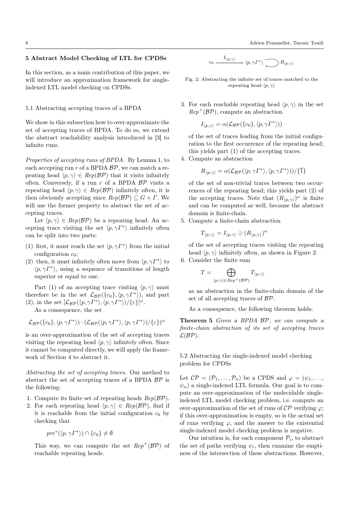# 5 Abstract Model Checking of LTL for CPDSs

In this section, as a main contribution of this paper, we will introduce an approximation framework for singleindexed LTL model checking on CPDSs.

#### 5.1 Abstracting accepting traces of a BPDA

We show in this subsection how to over-approximate the set of accepting traces of BPDA. To do so, we extend the abstract reachability analysis introduced in [3] to infinite runs.

Properties of accepting runs of BPDA. By Lemma 1, to each accepting run  $r$  of a BPDA  $BP$ , we can match a repeating head  $\langle p, \gamma \rangle \in Rep(\mathcal{BP})$  that it visits infinitely often. Conversely, if a run r of a BPDA  $BP$  visits a repeating head  $\langle p, \gamma \rangle \in Rep(\mathcal{BP})$  infinitely often, it is then obviously accepting since  $Rep(\mathcal{BP}) \subseteq G \times \Gamma$ . We will use the former property to abstract the set of accepting traces.

Let  $\langle p, \gamma \rangle \in Rep(\mathcal{BP})$  be a repeating head. An accepting trace visiting the set  $\langle p, \gamma I^* \rangle$  infinitely often can be split into two parts:

- (1) first, it must reach the set  $\langle p, \gamma I^* \rangle$  from the initial configuration  $c_0$ ;
- (2) then, it must infinitely often move from  $\langle p, \gamma I^* \rangle$  to  $\langle p, \gamma I^* \rangle$ , using a sequence of transitions of length superior or equal to one.

Part (1) of an accepting trace visiting  $\langle p, \gamma \rangle$  must therefore be in the set  $\mathcal{L}_{\mathcal{BP}}(\{c_0\}, \langle p, \gamma I^* \rangle)$ , and part (2), in the set  $[\mathcal{L}_{\mathcal{BP}}(\langle p, \gamma I^* \rangle, \langle p, \gamma I^* \rangle) / {\varepsilon}]^{\omega}$ .

As a consequence, the set

$$
\mathcal{L}_{\mathcal{BP}}(\{c_0\}, \langle p, \gamma I^* \rangle) \cdot (\mathcal{L}_{\mathcal{BP}}(\langle p, \gamma I^* \rangle, \langle p, \gamma I^* \rangle) / \{\varepsilon\})^{\omega}
$$

is an over-approximation of the set of accepting traces visiting the repeating head  $\langle p, \gamma \rangle$  infinitely often. Since it cannot be computed directly, we will apply the framework of Section 4 to abstract it.

Abstracting the set of accepting traces. Our method to abstract the set of accepting traces of a BPDA BP is the following:

- 1. Compute its finite set of repeating heads  $Rep(BP)$ .
- 2. For each repeating head  $\langle p, \gamma \rangle \in Rep(\mathcal{BP})$ , find if it is reachable from the initial configuration  $c_0$  by checking that

$$
pre^*(\langle p, \gamma I^* \rangle) \cap \{c_0\} \neq \emptyset
$$

This way, we can compute the set  $Rep^+(\mathcal{BP})$  of reachable repeating heads.

$$
c_0 \xrightarrow{\qquad I_{\langle p,\gamma\rangle}} \langle p,\gamma\Gamma^*\rangle \longrightarrow R_{\langle p,\gamma\rangle}
$$

Fig. 2: Abstracting the infinite set of traces matched to the repeating head  $\langle p, \gamma \rangle$ 

3. For each reachable repeating head  $\langle p, \gamma \rangle$  in the set  $Rep^+(\mathcal{BP})$ , compute an abstraction

$$
I_{\langle p,\gamma\rangle} = \alpha(\mathcal{L}_{\mathcal{BP}}(\{c_0\}, \langle p, \gamma I^* \rangle))
$$

of the set of traces leading from the initial configuration to the first occurrence of the repeating head; this yields part (1) of the accepting traces.

4. Compute an abstraction

$$
R_{\langle p,\gamma\rangle} = \alpha(\mathcal{L}_{\mathcal{BP}}(\langle p,\gamma\Gamma^*\rangle,\langle p,\gamma\Gamma^*\rangle))/\{\overline{1}\}
$$

of the set of non-trivial traces between two occurrences of the repeating head; this yields part (2) of the accepting traces. Note that  $(R_{\langle p,\gamma\rangle})^{\omega}$  is finite and can be computed as well, because the abstract domain is finite-chain.

5. Compute a finite-chain abstraction

$$
T_{\langle p,\gamma\rangle} = I_{\langle p,\gamma\rangle} \odot (R_{\langle p,\gamma\rangle})^{\omega}
$$

of the set of accepting traces visiting the repeating head  $\langle p, \gamma \rangle$  infinitely often, as shown in Figure 2. 6. Consider the finite sum

$$
T = \bigoplus T_{(p)}
$$

$$
=\bigoplus_{\langle p,\gamma\rangle\in Rep^+(\mathcal{BP})}T_{\langle p,\gamma\rangle}
$$

as an abstraction in the finite-chain domain of the set of all accepting traces of BP.

As a consequence, the following theorem holds:

Theorem 5 Given a BPDA BP, we can compute a finite-chain abstraction of its set of accepting traces  $L(BP)$ .

5.2 Abstracting the single-indexed model checking problem for CPDSs

Let  $\mathcal{CP} = (\mathcal{P}_1, \ldots, \mathcal{P}_n)$  be a CPDS and  $\varphi = (\psi_1, \ldots, \psi_n)$  $\psi_n$ ) a single-indexed LTL formula. Our goal is to compute an over-approximation of the undecidable singleindexed LTL model checking problem, i.e. compute an over-approximation of the set of runs of  $\mathcal{CP}$  verifying  $\varphi$ ; if this over-approximation is empty, so is the actual set of runs verifying  $\varphi$ , and the answer to the existential single-indexed model checking problem is negative.

Our intuition is, for each component  $P_i$ , to abstract the set of paths verifying  $\psi_i$ , then examine the emptiness of the intersection of these abstractions. However,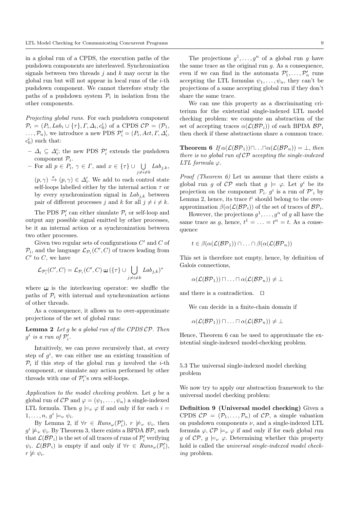in a global run of a CPDS, the execution paths of the pushdown components are interleaved. Synchronization signals between two threads  $j$  and  $k$  may occur in the global run but will not appear in local runs of the  $i$ -th pushdown component. We cannot therefore study the paths of a pushdown system  $\mathcal{P}_i$  in isolation from the other components.

Projecting global runs. For each pushdown component  $\mathcal{P}_i = (P_i, \text{Lab}_i \cup \{\tau\}, \Gamma, \Delta_i, c_0^i)$  of a CPDS  $\mathcal{CP} = (\mathcal{P}_1, \mathcal{P}_2)$  $\ldots, \mathcal{P}_n$ , we introduce a new PDS  $\mathcal{P}'_i = (P_i, Act, \Gamma, \Delta'_i, \Gamma'_i)$  $c_0^i$ ) such that:

- $\Delta_i$  ⊆  $\Delta'_i$ ; the new PDS  $\mathcal{P}'_i$  extends the pushdown component  $\mathcal{P}_i$ .
- $-$  For all  $p \in P_i$ ,  $\gamma \in \Gamma$ , and  $x \in \{\tau\} \cup \cup$  $\bigcup_{j\neq i\neq k} Lab_{j,k},$

 $(p, \gamma) \stackrel{x}{\rightarrow} (p, \gamma) \in \Delta'_i$ . We add to each control state self-loops labelled either by the internal action  $\tau$  or by every synchronization signal in  $Lab_{i,k}$  between pair of different processes j and k for all  $j \neq i \neq k$ .

The PDS  $\mathcal{P}'_i$  can either simulate  $\mathcal{P}_i$  or self-loop and output any possible signal emitted by other processes, be it an internal action or a synchronization between two other processes.

Given two regular sets of configurations  $C'$  and  $C$  of  $\mathcal{P}_i$ , and the language  $\mathcal{L}_{\mathcal{P}_i}(C', C)$  of traces leading from  $C'$  to  $C$ , we have

$$
\mathcal{L}_{\mathcal{P}_i'}(C',C) = \mathcal{L}_{\mathcal{P}_i}(C',C) \sqcup (\{\tau\} \cup \bigcup_{j \neq i \neq k} \mathit{Lab}_{j,k})^*
$$

where  $\mu$  is the interleaving operator: we shuffle the paths of  $P_i$  with internal and synchronization actions of other threads.

As a consequence, it allows us to over-approximate projections of the set of global runs:

**Lemma 2** Let  $g$  be a global run of the CPDS  $\mathcal{CP}$ . Then  $g^i$  is a run of  $\mathcal{P}'_i$ .

Intuitively, we can prove recursively that, at every step of  $g^i$ , we can either use an existing transition of  $\mathcal{P}_i$  if this step of the global run g involved the *i*-th component, or simulate any action performed by other threads with one of  $\mathcal{P}'_i$ 's own self-loops.

Application to the model checking problem. Let g be a global run of  $\mathcal{CP}$  and  $\varphi = (\psi_1, \ldots, \psi_n)$  a single-indexed LTL formula. Then  $g \models_{\nu} \varphi$  if and only if for each  $i =$  $1, \ldots, n, g^i \models_{\nu} \psi_i.$ 

By Lemma 2, if  $\forall r \in \text{Runs}_{\omega}(\mathcal{P}'_i)$ ,  $r \not\models_{\nu} \psi_i$ , then  $g^i \not\models_{\nu} \psi_i$ . By Theorem 3, there exists a BPDA  $\mathcal{BP}_i$  such that  $\mathcal{L}(\mathcal{BP}_i)$  is the set of all traces of runs of  $\mathcal{P}'_i$  verifying  $\psi_i$ .  $\mathcal{L}(\mathcal{BP}_i)$  is empty if and only if  $\forall r \in \text{Runs}_{\omega}(\mathcal{P}'_i)$ ,  $r \not\models \psi_i.$ 

The projections  $g^1, \ldots, g^n$  of a global run g have the same trace as the original run g. As a consequence, even if we can find in the automata  $\mathcal{P}'_1, \ldots, \mathcal{P}'_n$  runs accepting the LTL formulas  $\psi_1, \ldots, \psi_n$ , they can't be projections of a same accepting global run if they don't share the same trace.

We can use this property as a discriminating criterium for the existential single-indexed LTL model checking problem: we compute an abstraction of the set of accepting traces  $\alpha(\mathcal{L}(\mathcal{BP}_i))$  of each BPDA  $\mathcal{BP}_i$ then check if these abstractions share a common trace.

**Theorem 6** If  $\alpha(\mathcal{L}(\mathcal{BP}_1))\sqcap \ldots \sqcap \alpha(\mathcal{L}(\mathcal{BP}_n)) = \bot$ , then there is no global run of CP accepting the single-indexed LTL formula  $\varphi$ .

Proof (Theorem 6) Let us assume that there exists a global run g of  $\mathcal{CP}$  such that  $g \models \varphi$ . Let  $g^i$  be its projection on the component  $\mathcal{P}_i$ ,  $g^i$  is a run of  $\mathcal{P'}_i$  by Lemma 2, hence, its trace  $t^i$  should belong to the overapproximation  $\beta(\alpha(\mathcal{L}(\mathcal{BP}_i))$  of the set of traces of  $\mathcal{BP}_i$ .

However, the projections  $g^1, \ldots, g^n$  of g all have the same trace as g, hence,  $t^1 = \ldots = t^n = t$ . As a consequence

$$
t \in \beta(\alpha(\mathcal{L}(\mathcal{BP}_1)) \cap \ldots \cap \beta(\alpha(\mathcal{L}(\mathcal{BP}_n))
$$

This set is therefore not empty, hence, by definition of Galois connections,

$$
\alpha(\mathcal{L}(\mathcal{BP}_1)) \sqcap \ldots \sqcap \alpha(\mathcal{L}(\mathcal{BP}_n)) \neq \bot
$$

and there is a contradiction.  $\quad \Box$ 

We can decide in a finite-chain domain if

$$
\alpha(\mathcal{L}(\mathcal{BP}_1)) \sqcap \ldots \sqcap \alpha(\mathcal{L}(\mathcal{BP}_n)) \neq \bot
$$

Hence, Theorem 6 can be used to approximate the existential single-indexed model-checking problem.

# 5.3 The universal single-indexed model checking problem

We now try to apply our abstraction framework to the universal model checking problem:

Definition 9 (Universal model checking) Given a CPDS  $\mathcal{CP} = (\mathcal{P}_1, \ldots, \mathcal{P}_n)$  of  $\mathcal{CP}$ , a simple valuation on pushdown components  $\nu$ , and a single-indexed LTL formula  $\varphi,$   $\mathcal{CP} \models_{\nu} \varphi$  if and only if for each global run g of  $\mathcal{CP}, g \models_{\nu} \varphi$ . Determining whether this property hold is called the universal single-indexed model checking problem.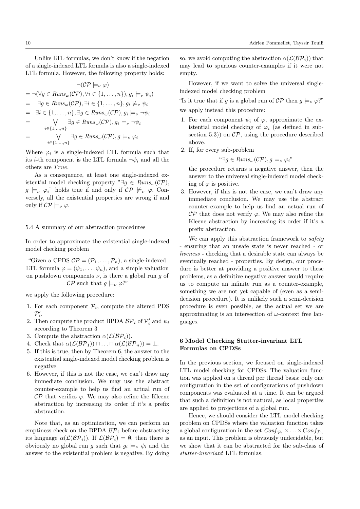Unlike LTL formulas, we don't know if the negation of a single-indexed LTL formula is also a single-indexed LTL formula. However, the following property holds:

$$
\neg(\mathcal{CP} \models_{\nu} \varphi)
$$
\n
$$
= \neg(\forall g \in Runs_{\omega}(\mathcal{CP}), \forall i \in \{1, ..., n\}), g_{i} \models_{\nu} \psi_{i})
$$
\n
$$
= \exists g \in Runs_{\omega}(\mathcal{CP}), \exists i \in \{1, ..., n\}, g_{i} \not\models_{\nu} \psi_{i}
$$
\n
$$
= \exists i \in \{1, ..., n\}, \exists g \in Runs_{\omega}(\mathcal{CP}), g_{i} \models_{\nu} \neg \psi_{i}
$$
\n
$$
= \bigvee_{i \in \{1, ..., n\}} \exists g \in Runs_{\omega}(\mathcal{CP}), g_{i} \models_{\nu} \neg \psi_{i}
$$
\n
$$
= \bigvee_{i \in \{1, ..., n\}} \exists g \in Runs_{\omega}(\mathcal{CP}), g \models_{\nu} \varphi_{i}
$$

Where  $\varphi_i$  is a single-indexed LTL formula such that its *i*-th component is the LTL formula  $\neg \psi_i$  and all the others are True.

As a consequence, at least one single-indexed existential model checking property " $\exists q \in \mathit{Runs}_{\omega}(\mathcal{CP}),$  $g \models_{\nu} \varphi_i$ " holds true if and only if  $\mathcal{CP} \not\models_{\nu} \varphi$ . Conversely, all the existential properties are wrong if and only if  $\mathcal{CP} \models_{\nu} \varphi$ .

#### 5.4 A summary of our abstraction procedures

In order to approximate the existential single-indexed model checking problem

"Given a CPDS  $\mathcal{CP} = (\mathcal{P}_1, \ldots, \mathcal{P}_n)$ , a single-indexed LTL formula  $\varphi = (\psi_1, \ldots, \psi_n)$ , and a simple valuation on pushdown components  $\nu$ , is there a global run g of  $\mathcal{CP}$  such that  $q \models_{\nu} \varphi$ ?"

we apply the following procedure:

- 1. For each component  $P_i$ , compute the altered PDS  $\mathcal{P}'_i$ .
- 2. Then compute the product BPDA  $\mathcal{BP}_i$  of  $\mathcal{P}'_i$  and  $\psi_i$ according to Theorem 3
- 3. Compute the abstraction  $\alpha(\mathcal{L}(\mathcal{BP}_i))$ .
- 4. Check that  $\alpha(\mathcal{L}(\mathcal{BP}_1)) \sqcap \ldots \sqcap \alpha(\mathcal{L}(\mathcal{BP}_n)) = \bot$ .
- 5. If this is true, then by Theorem 6, the answer to the existential single-indexed model checking problem is negative.
- 6. However, if this is not the case, we can't draw any immediate conclusion. We may use the abstract counter-example to help us find an actual run of  $\mathcal{CP}$  that verifies  $\varphi$ . We may also refine the Kleene abstraction by increasing its order if it's a prefix abstraction.

Note that, as an optimization, we can perform an emptiness check on the BPDA  $\mathcal{BP}_i$  before abstracting its language  $\alpha(\mathcal{L}(\mathcal{BP}_i))$ . If  $\mathcal{L}(\mathcal{BP}_i) = \emptyset$ , then there is obviously no global run g such that  $g_i \models_{\nu} \psi_i$  and the answer to the existential problem is negative. By doing

so, we avoid computing the abstraction  $\alpha(\mathcal{L}(\mathcal{BP}_i))$  that may lead to spurious counter-examples if it were not empty.

However, if we want to solve the universal singleindexed model checking problem

"Is it true that if g is a global run of  $\mathcal{CP}$  then  $g \models_{\nu} \varphi$ ?"

we apply instead this procedure:

- 1. For each component  $\psi_i$  of  $\varphi$ , approximate the existential model checking of  $\varphi_i$  (as defined in subsection 5.3)) on  $\mathcal{CP}$ , using the procedure described above.
- 2. If, for every sub-problem

$$
``\exists g \in Runs_{\omega}(\mathcal{CP}), g \models_{\nu} \varphi_i"
$$

the procedure returns a negative answer, then the answer to the universal single-indexed model checking of  $\varphi$  is positive.

3. However, if this is not the case, we can't draw any immediate conclusion. We may use the abstract counter-example to help us find an actual run of  $\mathcal{CP}$  that does not verify  $\varphi$ . We may also refine the Kleene abstraction by increasing its order if it's a prefix abstraction.

We can apply this abstraction framework to *safety* - ensuring that an unsafe state is never reached - or liveness - checking that a desirable state can always be eventually reached - properties. By design, our procedure is better at providing a positive answer to these problems, as a definitive negative answer would require us to compute an infinite run as a counter-example, something we are not yet capable of (even as a semidecision procedure). It is unlikely such a semi-decision procedure is even possible, as the actual set we are approximating is an intersection of  $\omega$ -context free languages.

# 6 Model Checking Stutter-invariant LTL Formulas on CPDSs

In the previous section, we focused on single-indexed LTL model checking for CPDSs. The valuation function was applied on a thread per thread basis: only one configuration in the set of configurations of pushdown components was evaluated at a time. It can be argued that such a definition is not natural, as local properties are applied to projections of a global run.

Hence, we should consider the LTL model checking problem on CPDSs where the valuation function takes a global configuration in the set  $\text{Conf}_{\mathcal{P}_1} \times \ldots \times \text{Conf}_{\mathcal{P}_n}$ as an input. This problem is obviously undecidable, but we show that it can be abstracted for the sub-class of stutter-invariant LTL formulas.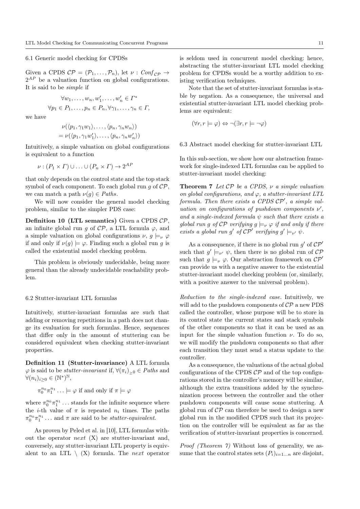#### 6.1 Generic model checking for CPDSs

Given a CPDS  $\mathcal{CP} = (\mathcal{P}_1, \ldots, \mathcal{P}_n)$ , let  $\nu : \mathit{Conf}_{\mathcal{CP}} \rightarrow$  $2^{AP}$  be a valuation function on global configurations. It is said to be simple if

$$
\forall w_1, \dots, w_n, w'_1, \dots, w'_n \in \Gamma^*
$$
  

$$
\forall p_1 \in P_1, \dots, p_n \in P_n, \forall \gamma_1, \dots, \gamma_n \in \Gamma,
$$

we have

$$
\nu(\langle p_1, \gamma_1 w_1 \rangle, \ldots, \langle p_n, \gamma_n w_n \rangle) \n= \nu(\langle p_1, \gamma_1 w'_1 \rangle, \ldots, \langle p_n, \gamma_n w'_n \rangle)
$$

Intuitively, a simple valuation on global configurations is equivalent to a function

$$
\nu : (P_1 \times \Gamma) \cup \ldots \cup (P_n \times \Gamma) \to 2^{AP}
$$

that only depends on the control state and the top stack symbol of each component. To each global run  $q$  of  $\mathcal{CP}$ , we can match a path  $\nu(g) \in Paths$ .

We will now consider the general model checking problem, similar to the simpler PDS case:

**Definition 10 (LTL semantics)** Given a CPDS  $\mathcal{CP}$ , an infinite global run g of  $\mathcal{CP}$ , a LTL formula  $\varphi$ , and a simple valuation on global configurations  $\nu, g \models_{\nu} \varphi$ if and only if  $\nu(g) \models \varphi$ . Finding such a global run g is called the existential model checking problem.

This problem is obviously undecidable, being more general than the already undecidable reachability problem.

#### 6.2 Stutter-invariant LTL formulas

Intuitively, stutter-invariant formulas are such that adding or removing repetitions in a path does not change its evaluation for such formulas. Hence, sequences that differ only in the amount of stuttering can be considered equivalent when checking stutter-invariant properties.

Definition 11 (Stutter-invariance) A LTL formula  $\varphi$  is said to be *stutter-invariant* if,  $\forall (\pi_i)_{>0} \in \mathit{Paths}$  and  $\forall (n_i)_{i \geq 0} \in (\mathbb{N}^*)^{\mathbb{N}},$ 

$$
\pi_0^{n_0}\pi_1^{n_1}\ldots\models\varphi\text{ if and only if }\pi\models\varphi
$$

where  $\pi_0^{n_0} \pi_1^{n_1} \dots$  stands for the infinite sequence where the *i*-th value of  $\pi$  is repeated  $n_i$  times. The paths  $\pi_0^{n_0} \pi_1^{n_1} \dots$  and  $\pi$  are said to be *stutter-equivalent*.

As proven by Peled et al. in [10], LTL formulas without the operator *next*  $(X)$  are stutter-invariant and, conversely, any stutter-invariant LTL property is equivalent to an LTL  $\setminus$  (X) formula. The *next* operator is seldom used in concurrent model checking: hence, abstracting the stutter-invariant LTL model checking problem for CPDSs would be a worthy addition to existing verification techniques.

Note that the set of stutter-invariant formulas is stable by negation. As a consequence, the universal and existential stutter-invariant LTL model checking problems are equivalent:

$$
(\forall r, r \models \varphi) \Leftrightarrow \neg (\exists r, r \models \neg \varphi)
$$

6.3 Abstract model checking for stutter-invariant LTL

In this sub-section, we show how our abstraction framework for single-indexed LTL formulas can be applied to stutter-invariant model checking:

**Theorem 7** Let  $\mathcal{CP}$  be a CPDS,  $\nu$  a simple valuation on global configurations, and  $\varphi$ , a stutter-invariant LTL formula. Then there exists a CPDS  $\mathcal{CP}'$ , a simple valuation on configurations of pushdown components  $\nu'$ , and a single-indexed formula  $\psi$  such that there exists a global run g of  $\mathcal{CP}$  verifying  $g \models_{\nu} \varphi$  if and only if there exists a global run g' of  $\mathcal{CP}'$  verifying  $g' \models_{\nu'} \psi$ .

As a consequence, if there is no global run  $g'$  of  $\mathcal{CP}'$ such that  $g' \models_{\nu'} \psi$ , then there is no global run of  $\mathcal{CP}$ such that  $g \models_{\nu} \varphi$ . Our abstraction framework on  $\mathcal{CP}'$ can provide us with a negative answer to the existential stutter-invariant model checking problem (or, similarly, with a positive answer to the universal problem).

Reduction to the single-indexed case. Intuitively, we will add to the pushdown components of  $\mathcal{CP}$  a new PDS called the controller, whose purpose will be to store in its control state the current states and stack symbols of the other components so that it can be used as an input for the simple valuation function  $\nu$ . To do so, we will modify the pushdown components so that after each transition they must send a status update to the controller.

As a consequence, the valuations of the actual global configurations of the CPDS  $\mathcal{CP}$  and of the top configurations stored in the controller's memory will be similar, although the extra transitions added by the synchronization process between the controller and the other pushdown components will cause some stuttering. A global run of  $\mathcal{CP}$  can therefore be used to design a new global run in the modified CPDS such that its projection on the controller will be equivalent as far as the verification of stutter-invariant properties is concerned.

Proof (Theorem 7) Without loss of generality, we assume that the control states sets  $(P_i)_{i=1...n}$  are disjoint,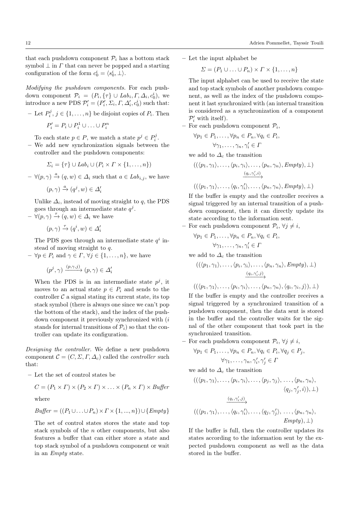that each pushdown component  $\mathcal{P}_i$  has a bottom stack symbol  $\perp$  in  $\Gamma$  that can never be popped and a starting configuration of the form  $c_0^i = \langle s_0^i, \perp \rangle$ .

Modifying the pushdown components. For each pushdown component  $\mathcal{P}_i = (P_i, \{\tau\} \cup \text{Lab}_i, \Gamma, \Delta_i, c_0^i)$ , we introduce a new PDS  $\mathcal{P}'_i = (P'_i, \Sigma_i, \Gamma, \Delta'_i, c_0^i)$  such that:

- Let  $P_i^j, j \in \{1, ..., n\}$  be disjoint copies of  $P_i$ . Then

 $P'_i = P_i \cup P_i^1 \cup \ldots \cup P_i^n$ 

- To each state  $p \in P$ , we match a state  $p^j \in P_i^j$ .
- We add new synchronization signals between the controller and the pushdown components:

$$
\Sigma_i = \{\tau\} \cup \text{Lab}_i \cup (P_i \times \Gamma \times \{1, \ldots, n\})
$$

 $- \forall (p, \gamma) \stackrel{a}{\rightarrow} (q, w) \in \Delta_i$  such that  $a \in Lab_{i,j}$ , we have

$$
(p,\gamma) \xrightarrow{a} (q^j,w) \in \varDelta_i'
$$

Unlike  $\Delta_i$ , instead of moving straight to q, the PDS goes through an intermediate state  $q^j$ .

 $- \ \forall (p, \gamma) \stackrel{\tau}{\rightarrow} (q, w) \in \Delta_i$  we have

$$
(p,\gamma)\xrightarrow{\tau} (q^i,w)\in\varDelta_i'
$$

The PDS goes through an intermediate state  $q<sup>i</sup>$  instead of moving straight to q.

 $-\forall p \in P_i$  and  $\gamma \in \Gamma, \forall j \in \{1, \ldots, n\}$ , we have

$$
(p^j, \gamma) \xrightarrow{(p, \gamma, j)} (p, \gamma) \in \Delta_i'
$$

When the PDS is in an intermediate state  $p<sup>j</sup>$ , it moves to an actual state  $p \in P_i$  and sends to the controller  $\mathcal C$  a signal stating its current state, its top stack symbol (there is always one since we can't pop the bottom of the stack), and the index of the pushdown component it previously synchronized with  $(i)$ stands for internal transitions of  $\mathcal{P}_i$ ) so that the controller can update its configuration.

Designing the controller. We define a new pushdown component  $\mathcal{C} = (C, \Sigma, \Gamma, \Delta_c)$  called the *controller* such that:

– Let the set of control states be

$$
C = (P_1 \times \Gamma) \times (P_2 \times \Gamma) \times \ldots \times (P_n \times \Gamma) \times \text{Buffer}
$$

where

$$
Buffer = ((P_1 \cup \ldots \cup P_n) \times \Gamma \times \{1, ..., n\}) \cup \{Empty\}
$$

The set of control states stores the state and top stack symbols of the n other components, but also features a buffer that can either store a state and top stack symbol of a pushdown component or wait in an Empty state.

– Let the input alphabet be

$$
\Sigma = (P_1 \cup \ldots \cup P_n) \times \Gamma \times \{1, \ldots, n\}
$$

The input alphabet can be used to receive the state and top stack symbols of another pushdown component, as well as the index of the pushdown component it last synchronized with (an internal transition is considered as a synchronization of a component  $\mathcal{P}'_i$  with itself).

– For each pushdown component  $P_i$ ,

$$
\forall p_1 \in P_1, \dots, \forall p_n \in P_n, \forall q_i \in P_i, \forall \gamma_1, \dots, \gamma_n, \gamma'_i \in \Gamma
$$

we add to  $\Delta_c$  the transition

$$
((\langle p_1, \gamma_1 \rangle, \ldots, \langle p_i, \gamma_i \rangle, \ldots, \langle p_n, \gamma_n \rangle, \text{Empty}), \perp)
$$

$$
\xrightarrow{\langle q_i, \gamma'_i, i \rangle}
$$

$$
((\langle p_1, \gamma_1 \rangle, \ldots, \langle q_i, \gamma'_i \rangle, \ldots, \langle p_n, \gamma_n \rangle, \mathit{Empty}), \perp)
$$

If the buffer is empty and the controller receives a signal triggered by an internal transition of a pushdown component, then it can directly update its state according to the information sent.

– For each pushdown component  $\mathcal{P}_i$ ,  $\forall j \neq i$ ,

$$
\forall p_1 \in P_1, \dots, \forall p_n \in P_n, \forall q_i \in P_i, \forall \gamma_1, \dots, \gamma_n, \gamma'_i \in \Gamma
$$

we add to  $\Delta_c$  the transition

$$
((\langle p_1, \gamma_1 \rangle, \ldots, \langle p_i, \gamma_i \rangle, \ldots, \langle p_n, \gamma_n \rangle, \text{Empty}), \perp)
$$
  

$$
\xrightarrow{\langle q_i, \gamma'_i, j \rangle}
$$

$$
((\langle p_1, \gamma_1 \rangle, \ldots, \langle p_i, \gamma_i \rangle, \ldots, \langle p_n, \gamma_n \rangle, \langle q_i, \gamma_i, j \rangle), \perp)
$$

If the buffer is empty and the controller receives a signal triggered by a synchronized transition of a pushdown component, then the data sent is stored in the buffer and the controller waits for the signal of the other component that took part in the synchronized transition.

– For each pushdown component  $\mathcal{P}_i$ ,  $\forall j \neq i$ ,

$$
\forall p_1 \in P_1, \dots, \forall p_n \in P_n, \forall q_i \in P_i, \forall q_j \in P_j, \forall \gamma_1, \dots, \gamma_n, \gamma'_i, \gamma'_j \in \Gamma
$$

we add to  $\Delta_c$  the transition

$$
((\langle p_1, \gamma_1 \rangle, \dots, \langle p_i, \gamma_i \rangle, \dots, \langle p_j, \gamma_j \rangle, \dots, \langle p_n, \gamma_n \rangle, \langle q_j, \gamma'_j, i \rangle), \perp)
$$

$$
\xrightarrow{\langle q_i, \gamma'_i, j \rangle} ((\langle p_1, \gamma_1 \rangle, \dots, \langle q_i, \gamma'_i \rangle, \dots, \langle q_j, \gamma'_j \rangle, \dots, \langle p_n, \gamma_n \rangle, Empty), \perp)
$$

If the buffer is full, then the controller updates its states according to the information sent by the expected pushdown component as well as the data stored in the buffer.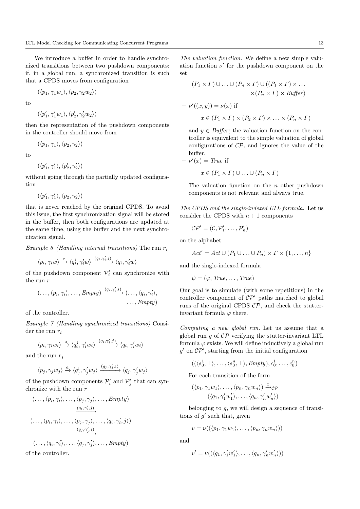We introduce a buffer in order to handle synchronized transitions between two pushdown components: if, in a global run, a synchronized transition is such that a CPDS moves from configuration

 $(\langle p_1, \gamma_1 w_1 \rangle, \langle p_2, \gamma_2 w_2 \rangle)$ 

to

 $(\langle p'_1,\gamma'_1 w_1\rangle,\langle p'_2,\gamma'_2 w_2\rangle)$ 

then the representation of the pushdown components in the controller should move from

 $(\langle p_1, \gamma_1 \rangle, \langle p_2, \gamma_2 \rangle)$ 

to

$$
(\langle p'_1, \gamma'_1\rangle, \langle p'_2, \gamma'_2\rangle)
$$

without going through the partially updated configuration

 $(\langle p_1',\gamma_1'\rangle,\langle p_2,\gamma_2\rangle)$ 

that is never reached by the original CPDS. To avoid this issue, the first synchronization signal will be stored in the buffer, then both configurations are updated at the same time, using the buffer and the next synchronization signal.

Example 6 (Handling internal transitions) The run  $r_i$ 

$$
\langle p_i, \gamma_i w \rangle \xrightarrow{\tau} \langle q_i^i, \gamma_i' w \rangle \xrightarrow{(q_i, \gamma_i', i)} \langle q_i, \gamma_i' w \rangle
$$

of the pushdown component  $\mathcal{P}'_i$  can synchronize with the run  $r$ 

$$
(\ldots, \langle p_i, \gamma_i \rangle, \ldots, Empty) \xrightarrow{(q_i, \gamma'_i, i)} (\ldots, \langle q_i, \gamma'_i \rangle, \ldots, Empty)
$$

of the controller.

Example 7 (Handling synchronized transitions) Consider the run  $r_i$ 

$$
\langle p_i, \gamma_i w_i \rangle \xrightarrow{a} \langle q_i^j, \gamma_i' w_i \rangle \xrightarrow{(q_i, \gamma_i', j)} \langle q_i, \gamma_i' w_i \rangle
$$

and the run  $r_i$ 

$$
\langle p_j, \gamma_j w_j \rangle \xrightarrow{a} \langle q_j^i, \gamma_j' w_j \rangle \xrightarrow{(q_j, \gamma_j', i)} \langle q_j, \gamma_j' w_j \rangle
$$

of the pushdown components  $\mathcal{P}'_i$  and  $\mathcal{P}'_j$  that can synchronize with the run r

$$
(\ldots, \langle p_i, \gamma_i \rangle, \ldots, \langle p_j, \gamma_j \rangle, \ldots, Empty)
$$

$$
\xrightarrow{\langle q_i, \gamma'_i, j \rangle} (\ldots, \langle p_i, \gamma_i \rangle, \ldots, \langle p_j, \gamma_j \rangle, \ldots, \langle q_i, \gamma'_i, j \rangle)
$$

$$
\xrightarrow{\langle q_j, \gamma'_j, i \rangle} (\ldots, \langle q_i, \gamma'_i \rangle, \ldots, \langle q_j, \gamma'_j \rangle, \ldots, Empty)
$$

of the controller.

The valuation function. We define a new simple valuation function  $\nu'$  for the pushdown component on the set

$$
(P_1 \times \Gamma) \cup \ldots \cup (P_n \times \Gamma) \cup ((P_1 \times \Gamma) \times \ldots
$$

$$
\times (P_n \times \Gamma) \times \text{Buffer})
$$

$$
- \nu'((x, y)) = \nu(x) \text{ if}
$$

$$
x \in (P_1 \times \Gamma) \times (P_2 \times \Gamma) \times \ldots \times (P_n \times \Gamma)
$$

and  $y \in$  *Buffer*; the valuation function on the controller is equivalent to the simple valuation of global configurations of  $\mathcal{CP}$ , and ignores the value of the buffer.

$$
- \nu'(x) = True \text{ if}
$$

$$
x \in (P_1 \times \Gamma) \cup ... \cup (P_n \times \Gamma)
$$

The valuation function on the  $n$  other pushdown components is not relevant and always true.

The CPDS and the single-indexed LTL formula. Let us consider the CPDS with  $n + 1$  components

$$
\mathcal{CP}'=(\mathcal{C},\mathcal{P}'_1,\ldots,\mathcal{P}'_n)
$$

on the alphabet

$$
Act' = Act \cup (P_1 \cup \ldots \cup P_n) \times \Gamma \times \{1, \ldots, n\}
$$

and the single-indexed formula

$$
\psi = (\varphi, \text{True}, \dots, \text{True})
$$

Our goal is to simulate (with some repetitions) in the controller component of  $\mathcal{CP}'$  paths matched to global runs of the original CPDS  $\mathcal{CP}$ , and check the stutterinvariant formula  $\varphi$  there.

Computing a new global run. Let us assume that a global run q of  $\mathcal{CP}$  verifying the stutter-invariant LTL formula  $\varphi$  exists. We will define inductively a global run  $g'$  on  $\mathcal{CP}'$ , starting from the initial configuration

$$
((\langle s_0^1, \perp \rangle, \ldots, \langle s_0^n, \perp \rangle, \text{Empty}), c_0^1, \ldots, c_0^n)
$$

For each transition of the form

$$
(\langle p_1, \gamma_1 w_1 \rangle, \dots, \langle p_n, \gamma_n w_n \rangle) \xrightarrow{x} c_{\mathcal{P}}
$$

$$
(\langle q_1, \gamma_1' w_1' \rangle, \dots, \langle q_n, \gamma_n' w_n' \rangle)
$$

belonging to  $g$ , we will design a sequence of transitions of  $g'$  such that, given

$$
v = \nu((\langle p_1, \gamma_1 w_1 \rangle, \ldots, \langle p_n, \gamma_n w_n \rangle))
$$

and

$$
v' = \nu((\langle q_1, \gamma'_1 w'_1 \rangle, \ldots, \langle q_n, \gamma'_n w'_n \rangle))
$$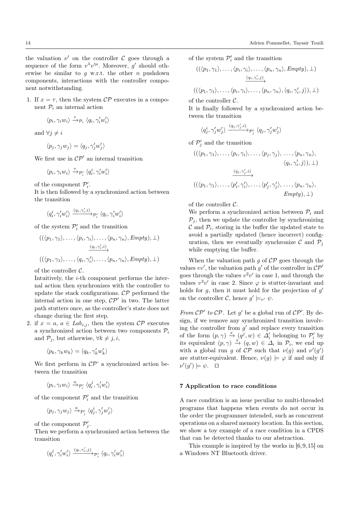the valuation  $\nu'$  on the controller C goes through a sequence of the form  $v^{\lambda}v'^{\mu}$ . Moreover, g' should otherwise be similar to  $g$  w.r.t. the other  $n$  pushdown components, interactions with the controller component notwithstanding.

1. If  $x = \tau$ , then the system  $\mathcal{CP}$  executes in a component  $\mathcal{P}_i$  an internal action

$$
\langle p_i, \gamma_i w_i \rangle \xrightarrow{\tau} \mathcal{P}_i \langle q_i, \gamma'_i w'_i \rangle
$$

and  $\forall j \neq i$ 

$$
\langle p_j, \gamma_j w_j \rangle = \langle q_j, \gamma'_j w'_j \rangle
$$

We first use in  $\mathcal{CP}'$  an internal transition

$$
\langle p_i, \gamma_i w_i \rangle \xrightarrow{\tau} _{\mathcal{P}'_i} \langle q_i^i, \gamma_i' w_i' \rangle
$$

of the component  $\mathcal{P}'_i$ .

It is then followed by a synchronized action between the transition

$$
\langle q_i^i, \gamma_i^\prime w_i^\prime \rangle \xrightarrow{(q_i, \gamma_i^\prime, i)} \hspace{-0.2cm} \mathcal{P}_i^\prime \; \langle q_i, \gamma_i^\prime w_i^\prime \rangle
$$

of the system  $\mathcal{P}'_i$  and the transition

$$
((\langle p_1, \gamma_1 \rangle, \dots, \langle p_i, \gamma_i \rangle, \dots, \langle p_n, \gamma_n \rangle, \text{Empty}), \perp)
$$

$$
\xrightarrow{\langle q_i, \gamma'_i, i \rangle}
$$

$$
((\langle p_1, \gamma_1 \rangle, \dots, \langle q_i, \gamma'_i \rangle, \dots, \langle p_n, \gamma_n \rangle, \text{Empty}), \perp)
$$

of the controller  $C$ .

Intuitively, the  $i$ -th component performs the internal action then synchronizes with the controller to update the stack configurations.  $\mathcal{CP}$  performed the internal action in one step,  $\mathcal{CP}'$  in two. The latter path stutters once, as the controller's state does not change during the first step.

2. if  $x = a$ ,  $a \in Lab_{i,j}$ , then the system  $\mathcal{CP}$  executes a synchronized action between two components  $P_i$ and  $\mathcal{P}_j$ , but otherwise,  $\forall k \neq j, i$ ,

$$
\langle p_k, \gamma_k w_k \rangle = \langle q_k, \gamma'_k w'_k \rangle
$$

We first perform in  $\mathcal{CP}'$  a synchronized action between the transition

$$
\langle p_i, \gamma_i w_i \rangle \xrightarrow{a} \mathcal{P}'_i \langle q_i^j, \gamma'_i w'_i \rangle
$$

of the component  $\mathcal{P}'_i$  and the transition

$$
\langle p_j, \gamma_j w_j \rangle \xrightarrow{a} \mathcal{P}'_j \langle q^i_j, \gamma'_j w'_j \rangle
$$

of the component  $\mathcal{P}'_j$ .

Then we perform a synchronized action between the transition

$$
\langle q_i^j, \gamma_i^\prime w_i^\prime \rangle \xrightarrow{(q_i, \gamma_i^\prime, j)} \mathcal{P}_i^\prime \; \langle q_i, \gamma_i^\prime w_i^\prime \rangle
$$

of the system  $\mathcal{P}'_i$  and the transition

$$
((\langle p_1, \gamma_1 \rangle, \dots, \langle p_i, \gamma_i \rangle, \dots, \langle p_n, \gamma_n \rangle, Empty), \perp)
$$

$$
\xrightarrow{(q_i, \gamma'_i, j)} ((\langle p_1, \gamma_1 \rangle, \dots, \langle p_i, \gamma_i \rangle, \dots, \langle p_n, \gamma_n \rangle, \langle q_i, \gamma'_i, j \rangle), \perp)
$$

of the controller  $C$ .

It is finally followed by a synchronized action between the transition

$$
\langle q^i_j, \gamma'_j w'_j \rangle \xrightarrow{(q_j, \gamma'_j, i)} \mathcal{P}'_j \ \langle q_j, \gamma'_j w'_j \rangle
$$

of  $\mathcal{P}'_j$  and the transition

$$
((\langle p_1, \gamma_1 \rangle, \dots, \langle p_i, \gamma_i \rangle, \dots, \langle p_j, \gamma_j \rangle, \dots, \langle p_n, \gamma_n \rangle, \langle q_i, \gamma'_i, j \rangle), \perp)
$$

$$
\xrightarrow{(q_j, \gamma'_j, i)} ((\langle p_1, \gamma_1 \rangle, \dots, \langle p'_i, \gamma'_i \rangle, \dots, \langle p'_j, \gamma'_j \rangle, \dots, \langle p_n, \gamma_n \rangle, Empty), \perp)
$$

of the controller  $\mathcal{C}$ .

We perform a synchronized action between  $\mathcal{P}_i$  and  $P_i$ , then we update the controller by synchronizing  $\mathcal C$  and  $\mathcal P_i$ , storing in the buffer the updated state to avoid a partially updated (hence incorrect) configuration, then we eventually synchronize C and  $\mathcal{P}_i$ while emptying the buffer.

When the valuation path g of  $\mathcal{CP}$  goes through the values  $vv'$ , the valuation path g' of the controller in  $\mathcal{CP}'$ goes through the values  $v^2v'$  in case 1, and through the values  $v^3v'$  in case 2. Since  $\varphi$  is stutter-invariant and holds for  $g$ , then it must hold for the projection of  $g'$ on the controller C, hence  $g' \models_{\nu'} \psi$ .

From  $\mathcal{CP}'$  to  $\mathcal{CP}$ . Let g' be a global run of  $\mathcal{CP}'$ . By design, if we remove any synchronized transition involving the controller from  $g'$  and replace every transition of the form  $(p, \gamma) \stackrel{x}{\rightarrow} (q^j, w) \in \mathring{A}'_i$  belonging to  $\mathcal{P}'_i$  by its equivalent  $(p, \gamma) \stackrel{x}{\rightarrow} (q, w) \in \Lambda_i$  in  $\mathcal{P}_i$ , we end up with a global run g of  $\mathcal{CP}$  such that  $\nu(g)$  and  $\nu'(g')$ are stutter-equivalent. Hence,  $\nu(g) \models \varphi$  if and only if  $\nu'(g') \models \psi$ .  $\Box$ 

### 7 Application to race conditions

A race condition is an issue peculiar to multi-threaded programs that happens when events do not occur in the order the programmer intended, such as concurrent operations on a shared memory location. In this section, we show a toy example of a race condition in a CPDS that can be detected thanks to our abstraction.

This example is inspired by the works in [6,9,15] on a Windows NT Bluetooth driver.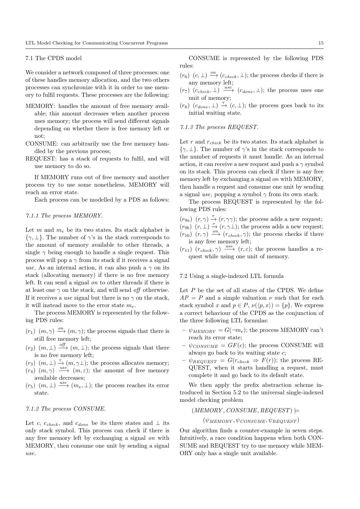#### 7.1 The CPDS model

We consider a network composed of three processes: one of these handles memory allocation, and the two others processes can synchronize with it in order to use memory to fulfil requests. These processes are the following:

- MEMORY: handles the amount of free memory available; this amount decreases when another process uses memory; the process will send different signals depending on whether there is free memory left or not;
- CONSUME: can arbitrarily use the free memory handled by the previous process;
- REQUEST: has a stack of requests to fulfil, and will use memory to do so.

If MEMORY runs out of free memory and another process try to use some nonetheless, MEMORY will reach an error state.

Each process can be modelled by a PDS as follows:

#### 7.1.1 The process MEMORY.

Let m and  $m_e$  be its two states. Its stack alphabet is  $\{\gamma, \perp\}$ . The number of  $\gamma$ 's in the stack corresponds to the amount of memory available to other threads, a single  $\gamma$  being enough to handle a single request. This process will pop a  $\gamma$  from its stack if it receives a signal use. As an internal action, it can also push a  $\gamma$  on its stack (allocating memory) if there is no free memory left. It can send a signal on to other threads if there is at least one  $\gamma$  on the stack, and will send off otherwise. If it receives a use signal but there is no  $\gamma$  on the stack, it will instead move to the error state  $m_e$ .

The process MEMORY is represented by the following PDS rules:

- $(r_1)$   $(m, \gamma) \stackrel{on}{\longrightarrow} (m, \gamma)$ ; the process signals that there is still free memory left;
- $(r_2)$   $(m, \perp) \stackrel{off}{\longrightarrow} (m, \perp)$ ; the process signals that there is no free memory left;
- $(r_3)$   $(m, \perp) \stackrel{\tau}{\rightarrow} (m, \gamma \perp)$ ; the process allocates memory;
- $(r_4)$   $(m, \gamma) \stackrel{use}{\longrightarrow} (m, \varepsilon);$  the amount of free memory available decreases;
- $(r_5)$   $(m, \perp) \stackrel{use}{\longrightarrow} (m_e, \perp)$ ; the process reaches its error state.

### 7.1.2 The process CONSUME.

Let c,  $c_{check}$ , and  $c_{done}$  be its three states and  $\perp$  its only stack symbol. This process can check if there is any free memory left by exchanging a signal on with MEMORY, then consume one unit by sending a signal use.

CONSUME is represented by the following PDS rules:

- $(r_6)$   $(c, \perp) \stackrel{on}{\longrightarrow} (c_{check}, \perp)$ ; the process checks if there is any memory left;
- $(r_7)$   $(c_{check}, \perp) \stackrel{use}{\longrightarrow} (c_{done}, \perp)$ ; the process uses one unit of memory;
- $(r_8)$   $(c_{done}, \perp) \stackrel{\tau}{\rightarrow} (c, \perp)$ ; the process goes back to its initial waiting state.
- 7.1.3 The process REQUEST.

Let  $r$  and  $r_{check}$  be its two states. Its stack alphabet is  $\{\gamma, \perp\}$ . The number of  $\gamma$ 's in the stack corresponds to the number of requests it must handle. As an internal action, it can receive a new request and push a  $\gamma$  symbol on its stack. This process can check if there is any free memory left by exchanging a signal *on* with MEMORY, then handle a request and consume one unit by sending a signal use, popping a symbol  $\gamma$  from its own stack.

The process REQUEST is represented by the following PDS rules:

- $(r_{9a})$   $(r, \gamma) \stackrel{\tau}{\rightarrow} (r, \gamma\gamma)$ ; the process adds a new request;
- $(r_{9b})$   $(r, \perp) \stackrel{\tau}{\rightarrow} (r, \gamma \perp)$ ; the process adds a new request;
- $(r_{10})$   $(r, \gamma) \stackrel{on}{\longrightarrow} (r_{check}, \gamma)$ ; the process checks if there is any free memory left;
- $(r_{11})$   $(r_{check}, \gamma) \xrightarrow{use} (r, \varepsilon);$  the process handles a request while using one unit of memory.

#### 7.2 Using a single-indexed LTL formula

Let  $P$  be the set of all states of the CPDS. We define  $AP = P$  and a simple valuation  $\nu$  such that for each stack symbol x and  $p \in P$ ,  $\nu(\langle p, x \rangle) = \{p\}$ . We express a correct behaviour of the CPDS as the conjunction of the three following LTL formulas:

- $\psi_{MEMORY} = G(\neg m_e)$ ; the process MEMORY can't reach its error state;
- $-\psi_{CONSUME} = GF(c)$ ; the process CONSUME will always go back to its waiting state  $c$ ;
- $\psi_{REQUEST} = G(r_{check} \Rightarrow F(r))$ ; the process RE-QUEST, when it starts handling a request, must complete it and go back to its default state.

We then apply the prefix abstraction scheme introduced in Section 5.2 to the universal single-indexed model checking problem

 $(MEMORY, CONSUME, REQUEST)$   $\models$ 

 $(\psi_{MEMORY}, \psi_{CONSUME}, \psi_{REQUEST})$ 

Our algorithm finds a counter-example in seven steps. Intuitively, a race condition happens when both CON-SUME and REQUEST try to use memory while MEM-ORY only has a single unit available.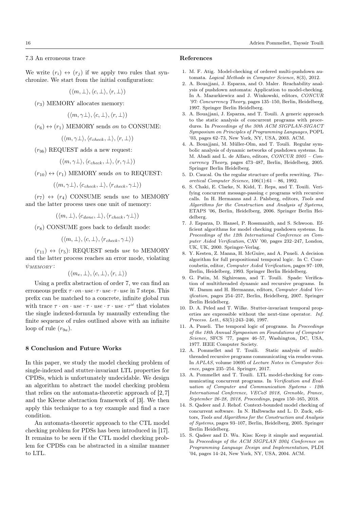7.3 An erroneous trace

We write  $(r_i) \leftrightarrow (r_j)$  if we apply two rules that synchronize. We start from the initial configuration:

 $(\langle m, \perp \rangle, \langle c, \perp \rangle, \langle r, \perp \rangle)$ 

 $(r_3)$  MEMORY allocates memory:

 $(\langle m, \gamma \perp \rangle, \langle c, \perp \rangle, \langle r, \perp \rangle)$ 

 $(r_6) \leftrightarrow (r_1)$  MEMORY sends on to CONSUME:

 $(\langle m, \gamma \perp \rangle, \langle c_{check}, \perp \rangle, \langle r, \perp \rangle)$ 

 $(r_{9b})$  REQUEST adds a new request:

 $(\langle m, \gamma \perp \rangle, \langle c_{check}, \perp \rangle, \langle r, \gamma \perp \rangle)$ 

 $(r_{10}) \leftrightarrow (r_1)$  MEMORY sends on to REQUEST:

 $(\langle m, \gamma \perp \rangle, \langle c_{check}, \perp \rangle, \langle r_{check}, \gamma \perp \rangle)$ 

 $(r_7) \leftrightarrow (r_4)$  CONSUME sends use to MEMORY and the latter process uses one unit of memory:

 $(\langle m, \perp \rangle, \langle c_{done}, \perp \rangle, \langle r_{check}, \gamma \perp \rangle)$ 

 $(r_8)$  CONSUME goes back to default mode:

 $(\langle m, \perp \rangle, \langle c, \perp \rangle, \langle r_{check}, \gamma \perp \rangle)$ 

 $(r_{11}) \leftrightarrow (r_5)$ : REQUEST sends use to MEMORY and the latter process reaches an error mode, violating  $\psi_{MEMORY}$ :

 $(\langle m_e, \perp \rangle, \langle c, \perp \rangle, \langle r, \perp \rangle)$ 

Using a prefix abstraction of order 7, we can find an erroneous prefix  $\tau \cdot on \cdot use \cdot \tau \cdot use \cdot \tau \cdot use$  in 7 steps. This prefix can be matched to a concrete, infinite global run with trace  $\tau \cdot on \cdot use \cdot \tau \cdot use \cdot \tau \cdot use \cdot \tau^{\omega}$  that violates the single indexed-formula by manually extending the finite sequence of rules outlined above with an infinite loop of rule  $(r_{9a})$ .

## 8 Conclusion and Future Works

In this paper, we study the model checking problem of single-indexed and stutter-invariant LTL properties for CPDSs, which is unfortunately undecidable. We design an algorithm to abstract the model checking problem that relies on the automata-theoretic approach of [2, 7] and the Kleene abstraction framework of [3]. We then apply this technique to a toy example and find a race condition.

An automata-theoretic approach to the CTL model checking problem for PDSs has been introduced in [17]. It remains to be seen if the CTL model checking problem for CPDSs can be abstracted in a similar manner to LTL.

# References

- 1. M. F. Atig. Model-checking of ordered multi-pushdown automata. Logical Methods in Computer Science, 8(3), 2012.
- 2. A. Bouajjani, J. Esparza, and O. Maler. Reachability analysis of pushdown automata: Application to model-checking. In A. Mazurkiewicz and J. Winkowski, editors, CONCUR '97: Concurrency Theory, pages 135–150, Berlin, Heidelberg, 1997. Springer Berlin Heidelberg.
- 3. A. Bouajjani, J. Esparza, and T. Touili. A generic approach to the static analysis of concurrent programs with procedures. In Proceedings of the 30th ACM SIGPLAN-SIGACT Symposium on Principles of Programming Languages, POPL '03, pages 62–73, New York, NY, USA, 2003. ACM.
- 4. A. Bouajjani, M. Müller-Olm, and T. Touili. Regular symbolic analysis of dynamic networks of pushdown systems. In M. Abadi and L. de Alfaro, editors, CONCUR 2005 – Concurrency Theory, pages 473–487, Berlin, Heidelberg, 2005. Springer Berlin Heidelberg.
- 5. D. Caucal. On the regular structure of prefix rewriting. Theoretical Computer Science, 106(1):61 – 86, 1992.
- 6. S. Chaki, E. Clarke, N. Kidd, T. Reps, and T. Touili. Verifying concurrent message-passing c programs with recursive calls. In H. Hermanns and J. Palsberg, editors, Tools and Algorithms for the Construction and Analysis of Systems, ETAPS '06, Berlin, Heidelberg, 2006. Springer Berlin Heidelberg.
- 7. J. Esparza, D. Hansel, P. Rossmanith, and S. Schwoon. Efficient algorithms for model checking pushdown systems. In Proceedings of the 12th International Conference on Computer Aided Verification, CAV '00, pages 232–247, London, UK, UK, 2000. Springer-Verlag.
- 8. Y. Kesten, Z. Manna, H. McGuire, and A. Pnueli. A decision algorithm for full propositional temporal logic. In C. Courcoubetis, editor, Computer Aided Verification, pages 97–109, Berlin, Heidelberg, 1993. Springer Berlin Heidelberg.
- 9. G. Patin, M. Sighireanu, and T. Touili. Spade: Verification of multithreaded dynamic and recursive programs. In W. Damm and H. Hermanns, editors, Computer Aided Verification, pages 254–257, Berlin, Heidelberg, 2007. Springer Berlin Heidelberg.
- 10. D. A. Peled and T. Wilke. Stutter-invariant temporal properties are expressible without the next-time operator. Inf. Process. Lett., 63(5):243–246, 1997.
- 11. A. Pnueli. The temporal logic of programs. In Proceedings of the 18th Annual Symposium on Foundations of Computer Science, SFCS '77, pages 46–57, Washington, DC, USA, 1977. IEEE Computer Society.
- 12. A. Pommellet and T. Touili. Static analysis of multithreaded recursive programs communicating via rendez-vous. In APLAS, volume 10695 of Lecture Notes in Computer Science, pages 235–254. Springer, 2017.
- 13. A. Pommellet and T. Touili. LTL model-checking for communicating concurrent programs. In Verification and Evaluation of Computer and Communication Systems - 12th International Conference, VECoS 2018, Grenoble, France, September 26-28, 2018, Proceedings, pages 150–165, 2018.
- 14. S. Qadeer and J. Rehof. Context-bounded model checking of concurrent software. In N. Halbwachs and L. D. Zuck, editors, Tools and Algorithms for the Construction and Analysis of Systems, pages 93–107, Berlin, Heidelberg, 2005. Springer Berlin Heidelberg.
- 15. S. Qadeer and D. Wu. Kiss: Keep it simple and sequential. In Proceedings of the ACM SIGPLAN 2004 Conference on Programming Language Design and Implementation, PLDI '04, pages 14–24, New York, NY, USA, 2004. ACM.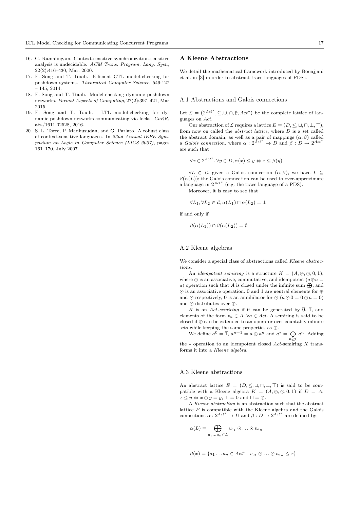- 16. G. Ramalingam. Context-sensitive synchronization-sensitive analysis is undecidable. ACM Trans. Program. Lang. Syst., 22(2):416–430, Mar. 2000.
- 17. F. Song and T. Touili. Efficient CTL model-checking for pushdown systems. Theoretical Computer Science, 549:127 – 145, 2014.
- 18. F. Song and T. Touili. Model-checking dynamic pushdown networks. Formal Aspects of Computing, 27(2):397–421, Mar 2015.
- 19. F. Song and T. Touili. LTL model-checking for dynamic pushdown networks communicating via locks. CoRR, abs/1611.02528, 2016.
- 20. S. L. Torre, P. Madhusudan, and G. Parlato. A robust class of context-sensitive languages. In 22nd Annual IEEE Symposium on Logic in Computer Science (LICS 2007), pages 161–170, July 2007.

#### A Kleene Abstractions

We detail the mathematical framework introduced by Bouajjani et al. in [3] in order to abstract trace languages of PDSs.

#### A.1 Abstractions and Galois connections

Let  $\mathcal{L} = (2^{Act^*}, \subseteq, \cup, \cap, \emptyset, \text{Act}^*)$  be the complete lattice of languages on Act.

Our abstraction of  $\mathcal L$  requires a lattice  $E = (D, \leq, \sqcup, \sqcap, \perp, \top)$ , from now on called the abstract lattice, where D is a set called the abstract domain, as well as a pair of mappings  $(\alpha, \beta)$  called a Galois connection, where  $\alpha: 2^{\hat{A}ct^*} \to D$  and  $\beta: D \to 2^{\hat{A}ct^*}$ are such that

$$
\forall x \in 2^{Act^*}, \forall y \in D, \alpha(x) \le y \Leftrightarrow x \subseteq \beta(y)
$$

 $\forall L \in \mathcal{L}$ , given a Galois connection  $(\alpha, \beta)$ , we have  $L \subseteq$  $\beta(\alpha(L))$ ; the Galois connection can be used to over-approximate a language in  $2^{Act^*}$  (e.g. the trace language of a PDS).

Moreover, it is easy to see that

$$
\forall L_1, \forall L_2 \in \mathcal{L}, \alpha(L_1) \sqcap \alpha(L_2) = \bot
$$

if and only if

$$
\beta(\alpha(L_1)) \cap \beta(\alpha(L_2)) = \emptyset
$$

#### A.2 Kleene algebras

We consider a special class of abstractions called Kleene abstractions.

An *idempotent semiring* is a structure  $K = (A, \oplus, \odot, \overline{0}, \overline{1}),$ where  $\oplus$  is an associative, commutative, and idempotent ( $a \oplus a =$ a) operation such that A is closed under the infinite sum  $\bigoplus$ , and  $\odot$  is an associative operation.  $\overline{0}$  and  $\overline{1}$  are neutral elements for  $\oplus$ and  $\odot$  respectively,  $\overline{0}$  is an annihilator for  $\odot$   $(a \odot \overline{0} = \overline{0} \odot a = \overline{0})$ and  $\odot$  distributes over  $\oplus.$ 

K is an Act-semiring if it can be generated by  $\overline{0}$ ,  $\overline{1}$ , and elements of the form  $v_a \in A$ ,  $\forall a \in Act$ . A semiring is said to be closed if  $\oplus$  can be extended to an operator over countably infinite sets while keeping the same properties as ⊕.

We define  $a^0 = \overline{1}$ ,  $a^{n+1} = a \odot a^n$  and  $a^* = \bigoplus a^n$ . Adding the  $*$  operation to an idempotent closed Act-semiring K transforms it into a Kleene algebra.

#### A.3 Kleene abstractions

An abstract lattice  $E = (D, \leq, \sqcup, \sqcap, \perp, \top)$  is said to be compatible with a Kleene algebra  $K = (A, \oplus, \odot, \overline{0}, \overline{1})$  if  $D = A$ ,  $x \leq y \Leftrightarrow x \oplus y = y, \perp = \overline{0} \text{ and } \perp = \oplus.$ 

A Kleene abstraction is an abstraction such that the abstract lattice  $E$  is compatible with the Kleene algebra and the Galois connections  $\alpha: 2^{Act^*} \to D$  and  $\beta: D \to 2^{Act^*}$  are defined by:

$$
\alpha(L) = \bigoplus_{a_1...a_n \in L} v_{a_1} \odot \ldots \odot v_{a_n}
$$

$$
\beta(x) = \{a_1 \dots a_n \in Act^* \mid v_{a_1} \odot \dots \odot v_{a_n} \leq x\}
$$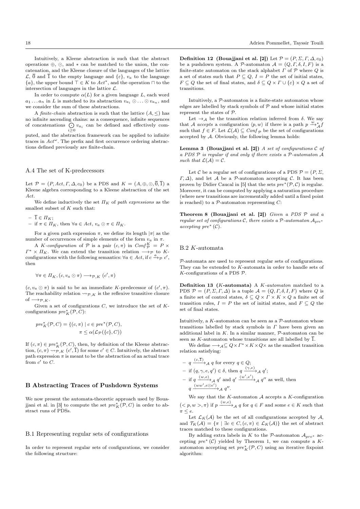Intuitively, a Kleene abstraction is such that the abstract operations  $\oplus$ ,  $\odot$ , and  $*$  can be matched to the union, the concatenation, and the Kleene closure of the languages of the lattice  $\mathcal{L}, \overline{0}$  and  $\overline{1}$  to the empty language and  $\{\varepsilon\}, v_a$  to the language  ${a}$ , the upper bound  $\top \in K$  to  $Act^*$ , and the operation  $\sqcap$  to the intersection of languages in the lattice  $\mathcal{L}.$ 

In order to compute  $\alpha(L)$  for a given language L, each word  $a_1 \ldots a_n$  in L is matched to its abstraction  $v_{a_1} \odot \ldots \odot v_{a_n}$ , and we consider the sum of these abstractions.

A *finite-chain* abstraction is such that the lattice  $(A, \leq)$  has no infinite ascending chains: as a consequence, infinite sequences of concatenations  $\bigodot_{i\geq 0} v_{a_i}$  can be defined and effectively com-

puted, and the abstraction framework can be applied to infinite traces in  $Act^{\omega}$ . The prefix and first occurrence ordering abstractions defined previously are finite-chain.

#### A.4 The set of K-predecessors

Let  $\mathcal{P} = (P, Act, \Gamma, \Delta, c_0)$  be a PDS and  $K = (A, \oplus, \odot, \overline{0}, \overline{1})$  a Kleene algebra corresponding to a Kleene abstraction of the set Act.

We define inductively the set  $\Pi_K$  of path expressions as the smallest subset of  $K$  such that:

$$
- \ \overline{1} \in \Pi_K;
$$

 $-$  if  $\pi \in \Pi_K$ , then  $\forall a \in Act, v_a \odot \pi \in \Pi_K$ .

For a given path expression  $\pi$ , we define its length  $|\pi|$  as the number of occurrences of simple elements of the form  $v_a$  in  $\pi$ .

A K-configuration of  $P$  is a pair  $(c, \pi)$  in  $Conf_{P}^{K} = P \times$  $\Gamma^* \times \Pi_K$ . We can extend the transition relation  $\longrightarrow_{\mathcal{P}}$  to Kconfigurations with the following semantics:  $\forall a \in Act, \text{ if } c \xrightarrow{a} p c'$ , then

$$
\forall \pi \in \Pi_K, (c, v_a \odot \pi) \longrightarrow_{\mathcal{P}, K} (c', \pi)
$$

 $(c, v_a \odot \pi)$  is said to be an immediate K-predecessor of  $(c', \pi)$ . The reachability relation  $\leadsto_{\mathcal{P},K}$  is the reflexive transitive closure of  $\longrightarrow_{\mathcal{P}} K$ .

Given a set of configurations  $C$ , we introduce the set of  $K$ configurations  $pre<sub>K</sub><sup>*</sup>(P, C)$ :

$$
pre_K^*(\mathcal{P}, C) = \{ (c, \pi) \mid c \in pre^*(\mathcal{P}, C),
$$

$$
\pi \leq \alpha(\mathcal{L}_{\mathcal{P}}(\{c\}, C))
$$

If  $(c, \pi) \in pre_K^*(\mathcal{P}, C)$ , then, by definition of the Kleene abstraction,  $(c, \pi) \rightarrow_{\mathcal{P},K} (c', \overline{1})$  for some  $c' \in C$ . Intuitively, the abstract path expression  $\pi$  is meant to be the abstraction of an actual trace from  $c'$  to  $C$ .

#### B Abstracting Traces of Pushdown Systems

We now present the automata-theoretic approach used by Bouajjani et al. in [3] to compute the set  $\mathit{pre}^*_K(\mathcal{P},C)$  in order to abstract runs of PDSs.

#### B.1 Representing regular sets of configurations

In order to represent regular sets of configurations, we consider the following structure:

Definition 12 (Bouajjani et al. [2]) Let  $\mathcal{P} = (P, \Sigma, \Gamma, \Delta, c_0)$ be a pushdown system. A P-automaton  $A = (Q, \Gamma, \delta, I, F)$  is a finite-state automaton on the stack alphabet  $\Gamma$  of  $\mathcal P$  where  $Q$  is a set of states such that  $P \subseteq Q$ ,  $I = P$  the set of initial states,  $F \subseteq Q$  the set of final states, and  $\delta \subseteq Q \times \Gamma \cup \{\varepsilon\} \times Q$  a set of transitions.

Intuitively, a P-automaton is a finite-state automaton whose edges are labelled by stack symbols of  $P$  and whose initial states represent the states of P.

Let  $\rightarrow_A$  be the transition relation inferred from δ. We say that A accepts a configuration  $\langle p, w \rangle$  if there is a path  $p \stackrel{w}{\longrightarrow_A} \mathcal{J}$ such that  $f \in F$ . Let  $\mathcal{L}(\mathcal{A}) \subseteq \mathcal{C} \text{on} f_{\mathcal{P}}$  be the set of configurations accepted by  $A$ . Obviously, the following lemma holds:

Lemma 3 (Bouajjani et al. [2])  $A$  set of configurations  $C$  of a PDS P is regular if and only if there exists a P-automaton A such that  $\mathcal{L}(\mathcal{A}) = \mathcal{C}$ .

Let C be a regular set of configurations of a PDS  $P = (P, \Sigma, \Sigma)$  $\Gamma$ ,  $\Delta$ ), and let A be a P-automaton accepting C. It has been proven by Didier Caucal in [5] that the sets  $pre^*(P, C)$  is regular. Moreover, it can be computed by applying a saturation procedure (where new transitions are incrementally added until a fixed point is reached) to a  $P$ -automaton representing  $C$ :

Theorem 8 (Bouajjani et al. [2]) Given a PDS  $P$  and a regular set of configurations C, there exists a P-automaton  $A_{pre*}$  $accepting pre*(\mathcal{C}).$ 

#### B.2 K-automata

P-automata are used to represent regular sets of configurations. They can be extended to  $K$ -automata in order to handle sets of  $K$ -configurations of a PDS  $\mathcal{P}$ .

**Definition 13** ( $K$ -automata) A  $K$ -automaton matched to a PDS  $P = (P, \Sigma, \Gamma, \Delta)$  is a tuple  $\mathcal{A} = (Q, \Gamma, \delta, I, F)$  where Q is a finite set of control states,  $\delta \subseteq Q \times \Gamma \times K \times Q$  a finite set of transition rules,  $I = P$  the set of initial states, and  $F \subseteq Q$  the set of final states.

Intuitively, a  $K$ -automaton can be seen as a  $\mathcal{P}$ -automaton whose transitions labelled by stack symbols in  $\Gamma$  have been given an additional label in  $K$ . In a similar manner,  $P$ -automaton can be seen as K-automaton whose transitions are all labelled by  $\overline{1}$ .

We define  $\longrightarrow_{\mathcal A}\subseteq Q\times I^*\times K\times Q\times$  as the smallest transition relation satisfying:

 $- q \xrightarrow{(\varepsilon, 1)} A q$  for every  $q \in Q$ ;  $-$  if  $(q, \gamma, e, q') \in \delta$ , then  $q \xrightarrow{(\gamma, e)} q'$ ; − if  $q \xrightarrow{(w,e)}$  and  $q' \xrightarrow{(w',e')}$  and  $q''$  as well, then  $q \xrightarrow{(ww',e\odot e')} A q''$ .

We say that the K-automaton  $A$  accepts a K-configuration  $(< p, w>, \pi)$  if  $p \xrightarrow{(w,e)}$  q for  $q \in F$  and some  $e \in K$  such that  $\pi \leq e$ .

Let  $\mathcal{L}_K(\mathcal{A})$  be the set of all configurations accepted by  $\mathcal{A}$ , and  $\mathcal{T}_K(\mathcal{A}) = \{ \pi \mid \exists c \in C, (c, \pi) \in \mathcal{L}_K(\mathcal{A}) \}$  the set of abstract traces matched to these configurations.

By adding extra labels in K to the P-automaton  $A_{pre^*}$  accepting  $pre^*(\mathcal{C})$  yielded by Theorem 1, we can compute a Kautomaton accepting set  $\mathit{pre}^*_K(\mathcal{P}, C)$  using an iterative fixpoint algorithm: